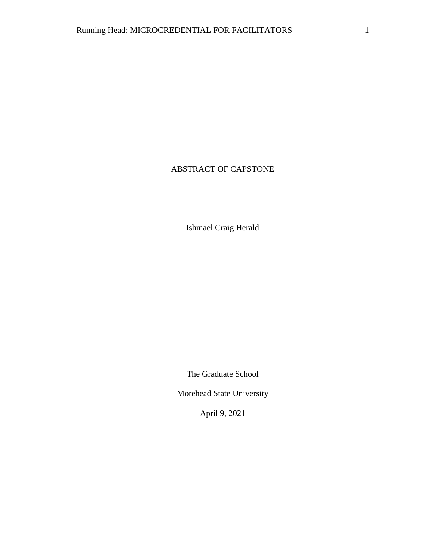# ABSTRACT OF CAPSTONE

Ishmael Craig Herald

The Graduate School

Morehead State University

April 9, 2021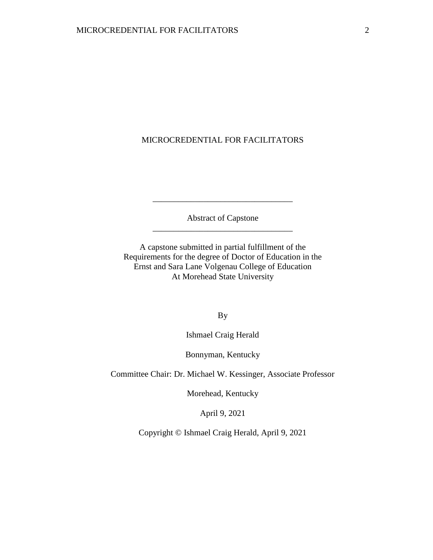### MICROCREDENTIAL FOR FACILITATORS

Abstract of Capstone \_\_\_\_\_\_\_\_\_\_\_\_\_\_\_\_\_\_\_\_\_\_\_\_\_\_\_\_\_\_\_\_\_

\_\_\_\_\_\_\_\_\_\_\_\_\_\_\_\_\_\_\_\_\_\_\_\_\_\_\_\_\_\_\_\_\_

A capstone submitted in partial fulfillment of the Requirements for the degree of Doctor of Education in the Ernst and Sara Lane Volgenau College of Education At Morehead State University

By

Ishmael Craig Herald

Bonnyman, Kentucky

Committee Chair: Dr. Michael W. Kessinger, Associate Professor

Morehead, Kentucky

April 9, 2021

Copyright © Ishmael Craig Herald, April 9, 2021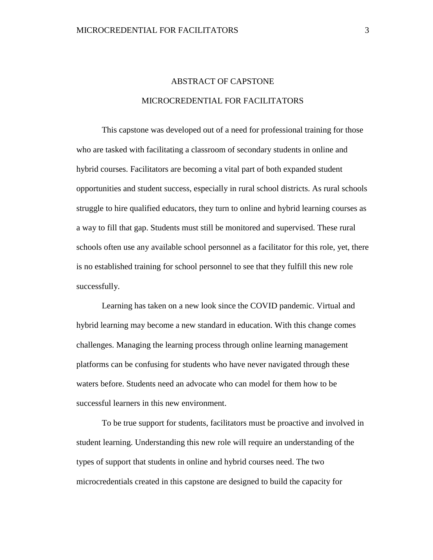# ABSTRACT OF CAPSTONE MICROCREDENTIAL FOR FACILITATORS

This capstone was developed out of a need for professional training for those who are tasked with facilitating a classroom of secondary students in online and hybrid courses. Facilitators are becoming a vital part of both expanded student opportunities and student success, especially in rural school districts. As rural schools struggle to hire qualified educators, they turn to online and hybrid learning courses as a way to fill that gap. Students must still be monitored and supervised. These rural schools often use any available school personnel as a facilitator for this role, yet, there is no established training for school personnel to see that they fulfill this new role successfully.

Learning has taken on a new look since the COVID pandemic. Virtual and hybrid learning may become a new standard in education. With this change comes challenges. Managing the learning process through online learning management platforms can be confusing for students who have never navigated through these waters before. Students need an advocate who can model for them how to be successful learners in this new environment.

To be true support for students, facilitators must be proactive and involved in student learning. Understanding this new role will require an understanding of the types of support that students in online and hybrid courses need. The two microcredentials created in this capstone are designed to build the capacity for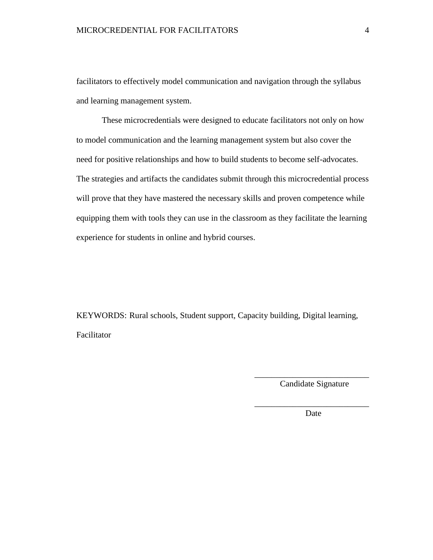facilitators to effectively model communication and navigation through the syllabus and learning management system.

These microcredentials were designed to educate facilitators not only on how to model communication and the learning management system but also cover the need for positive relationships and how to build students to become self-advocates. The strategies and artifacts the candidates submit through this microcredential process will prove that they have mastered the necessary skills and proven competence while equipping them with tools they can use in the classroom as they facilitate the learning experience for students in online and hybrid courses.

KEYWORDS: Rural schools, Student support, Capacity building, Digital learning, Facilitator

> \_\_\_\_\_\_\_\_\_\_\_\_\_\_\_\_\_\_\_\_\_\_\_\_\_\_\_ Candidate Signature

> \_\_\_\_\_\_\_\_\_\_\_\_\_\_\_\_\_\_\_\_\_\_\_\_\_\_\_ Date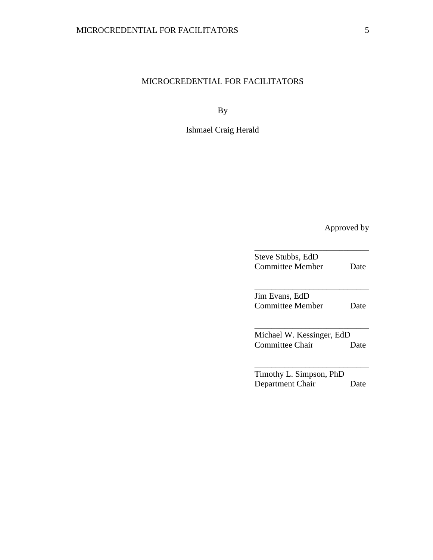# MICROCREDENTIAL FOR FACILITATORS

By

Ishmael Craig Herald

Approved by

| Steve Stubbs, EdD         |      |
|---------------------------|------|
| Committee Member          | Date |
|                           |      |
| Jim Evans, EdD            |      |
| Committee Member          | Date |
|                           |      |
| Michael W. Kessinger, EdD |      |
| Committee Chair           | Date |
|                           |      |
| Timothy L. Simpson, PhD   |      |
| Department Chair          | Date |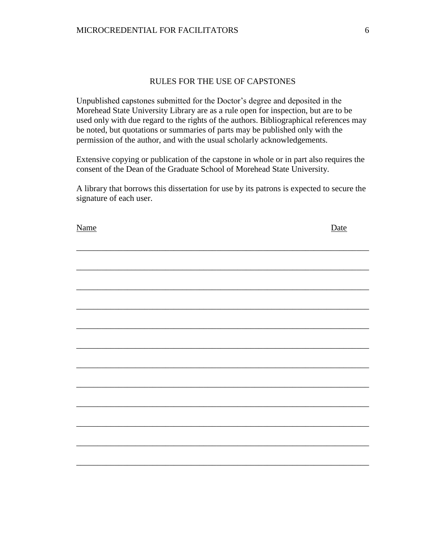### RULES FOR THE USE OF CAPSTONES

Unpublished capstones submitted for the Doctor's degree and deposited in the Morehead State University Library are as a rule open for inspection, but are to be used only with due regard to the rights of the authors. Bibliographical references may be noted, but quotations or summaries of parts may be published only with the permission of the author, and with the usual scholarly acknowledgements.

Extensive copying or publication of the capstone in whole or in part also requires the consent of the Dean of the Graduate School of Morehead State University.

A library that borrows this dissertation for use by its patrons is expected to secure the signature of each user.

| <b>Name</b> | Date |
|-------------|------|
|             |      |
|             |      |
|             |      |
|             |      |
|             |      |
|             |      |
|             |      |
|             |      |
|             |      |
|             |      |
|             |      |
|             |      |
|             |      |
|             |      |
|             |      |
|             |      |
|             |      |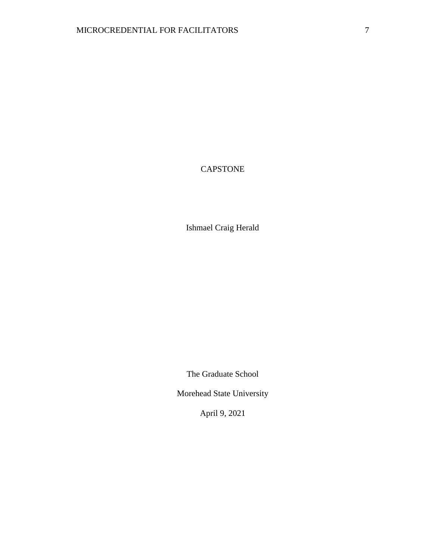## CAPSTONE

Ishmael Craig Herald

The Graduate School

Morehead State University

April 9, 2021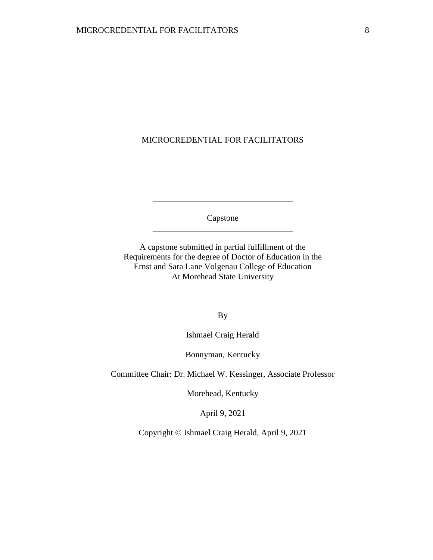### MICROCREDENTIAL FOR FACILITATORS

Capstone \_\_\_\_\_\_\_\_\_\_\_\_\_\_\_\_\_\_\_\_\_\_\_\_\_\_\_\_\_\_\_\_\_

\_\_\_\_\_\_\_\_\_\_\_\_\_\_\_\_\_\_\_\_\_\_\_\_\_\_\_\_\_\_\_\_\_

A capstone submitted in partial fulfillment of the Requirements for the degree of Doctor of Education in the Ernst and Sara Lane Volgenau College of Education At Morehead State University

By

Ishmael Craig Herald

Bonnyman, Kentucky

Committee Chair: Dr. Michael W. Kessinger, Associate Professor

Morehead, Kentucky

April 9, 2021

Copyright © Ishmael Craig Herald, April 9, 2021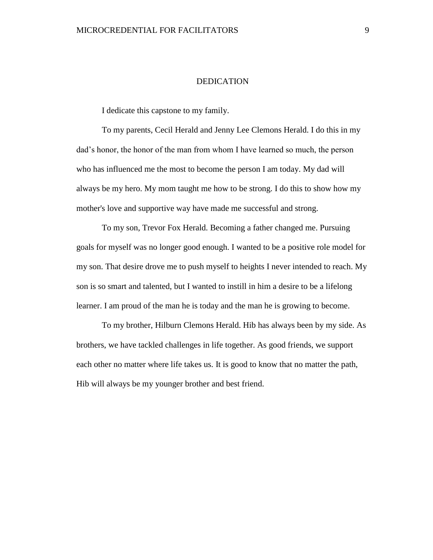### DEDICATION

I dedicate this capstone to my family.

To my parents, Cecil Herald and Jenny Lee Clemons Herald. I do this in my dad's honor, the honor of the man from whom I have learned so much, the person who has influenced me the most to become the person I am today. My dad will always be my hero. My mom taught me how to be strong. I do this to show how my mother's love and supportive way have made me successful and strong.

To my son, Trevor Fox Herald. Becoming a father changed me. Pursuing goals for myself was no longer good enough. I wanted to be a positive role model for my son. That desire drove me to push myself to heights I never intended to reach. My son is so smart and talented, but I wanted to instill in him a desire to be a lifelong learner. I am proud of the man he is today and the man he is growing to become.

To my brother, Hilburn Clemons Herald. Hib has always been by my side. As brothers, we have tackled challenges in life together. As good friends, we support each other no matter where life takes us. It is good to know that no matter the path, Hib will always be my younger brother and best friend.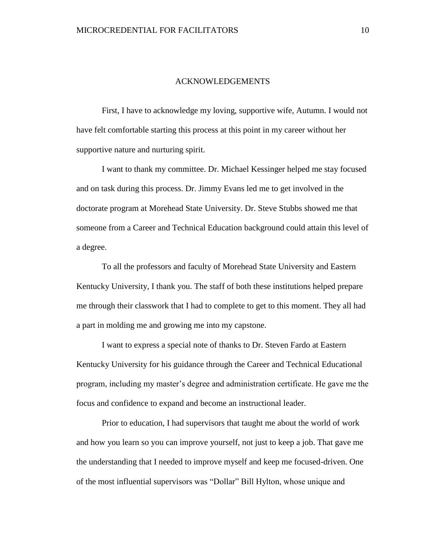#### ACKNOWLEDGEMENTS

First, I have to acknowledge my loving, supportive wife, Autumn. I would not have felt comfortable starting this process at this point in my career without her supportive nature and nurturing spirit.

I want to thank my committee. Dr. Michael Kessinger helped me stay focused and on task during this process. Dr. Jimmy Evans led me to get involved in the doctorate program at Morehead State University. Dr. Steve Stubbs showed me that someone from a Career and Technical Education background could attain this level of a degree.

To all the professors and faculty of Morehead State University and Eastern Kentucky University, I thank you. The staff of both these institutions helped prepare me through their classwork that I had to complete to get to this moment. They all had a part in molding me and growing me into my capstone.

I want to express a special note of thanks to Dr. Steven Fardo at Eastern Kentucky University for his guidance through the Career and Technical Educational program, including my master's degree and administration certificate. He gave me the focus and confidence to expand and become an instructional leader.

Prior to education, I had supervisors that taught me about the world of work and how you learn so you can improve yourself, not just to keep a job. That gave me the understanding that I needed to improve myself and keep me focused-driven. One of the most influential supervisors was "Dollar" Bill Hylton, whose unique and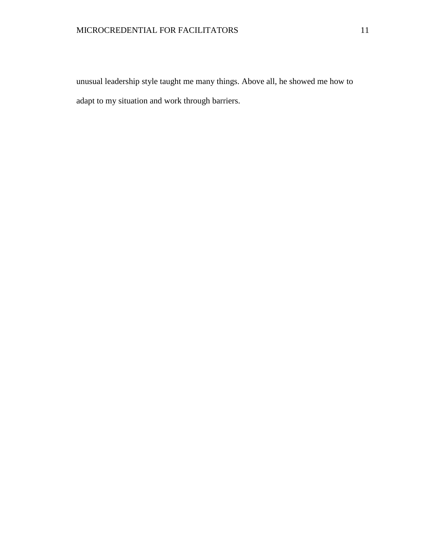unusual leadership style taught me many things. Above all, he showed me how to adapt to my situation and work through barriers.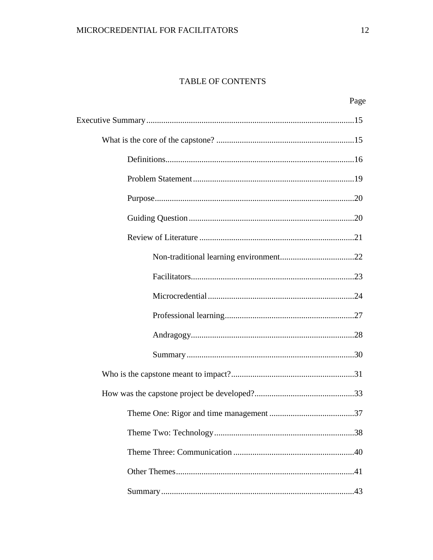### TABLE OF CONTENTS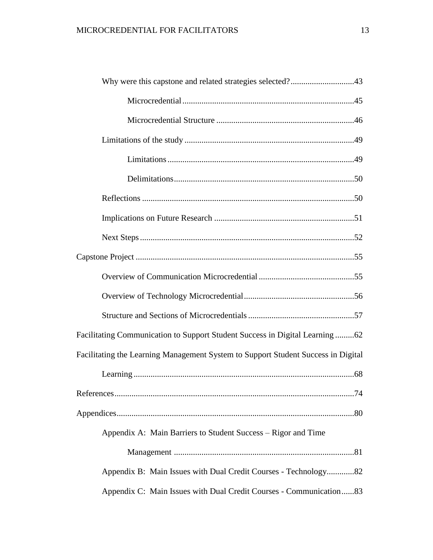| Why were this capstone and related strategies selected?43                         |
|-----------------------------------------------------------------------------------|
|                                                                                   |
|                                                                                   |
|                                                                                   |
|                                                                                   |
|                                                                                   |
|                                                                                   |
|                                                                                   |
|                                                                                   |
|                                                                                   |
|                                                                                   |
|                                                                                   |
|                                                                                   |
| Facilitating Communication to Support Student Success in Digital Learning62       |
| Facilitating the Learning Management System to Support Student Success in Digital |
|                                                                                   |
| .74                                                                               |
|                                                                                   |
| Appendix A: Main Barriers to Student Success – Rigor and Time                     |
|                                                                                   |
| Appendix B: Main Issues with Dual Credit Courses - Technology82                   |
| Appendix C: Main Issues with Dual Credit Courses - Communication83                |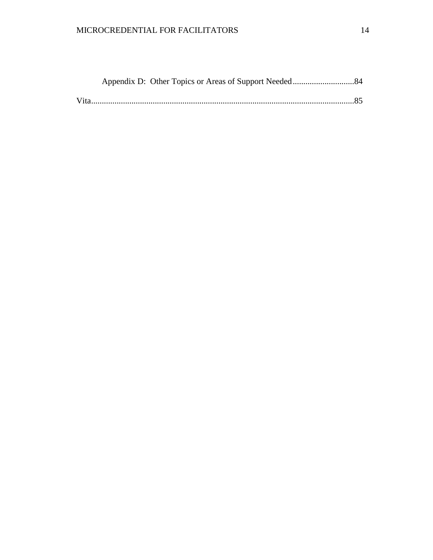# MICROCREDENTIAL FOR FACILITATORS 14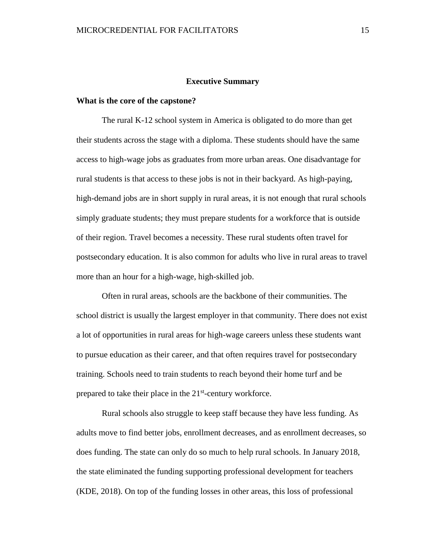#### **Executive Summary**

#### **What is the core of the capstone?**

The rural K-12 school system in America is obligated to do more than get their students across the stage with a diploma. These students should have the same access to high-wage jobs as graduates from more urban areas. One disadvantage for rural students is that access to these jobs is not in their backyard. As high-paying, high-demand jobs are in short supply in rural areas, it is not enough that rural schools simply graduate students; they must prepare students for a workforce that is outside of their region. Travel becomes a necessity. These rural students often travel for postsecondary education. It is also common for adults who live in rural areas to travel more than an hour for a high-wage, high-skilled job.

Often in rural areas, schools are the backbone of their communities. The school district is usually the largest employer in that community. There does not exist a lot of opportunities in rural areas for high-wage careers unless these students want to pursue education as their career, and that often requires travel for postsecondary training. Schools need to train students to reach beyond their home turf and be prepared to take their place in the 21<sup>st</sup>-century workforce.

Rural schools also struggle to keep staff because they have less funding. As adults move to find better jobs, enrollment decreases, and as enrollment decreases, so does funding. The state can only do so much to help rural schools. In January 2018, the state eliminated the funding supporting professional development for teachers (KDE, 2018). On top of the funding losses in other areas, this loss of professional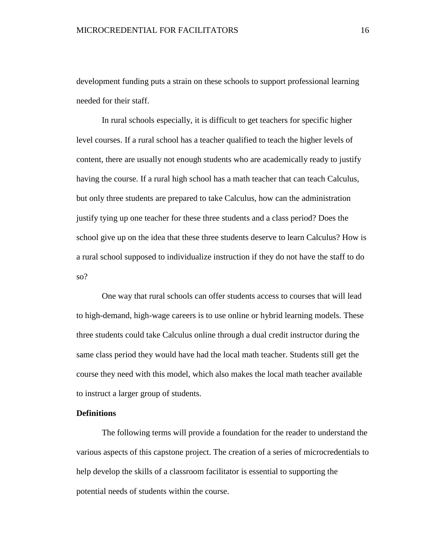development funding puts a strain on these schools to support professional learning needed for their staff.

In rural schools especially, it is difficult to get teachers for specific higher level courses. If a rural school has a teacher qualified to teach the higher levels of content, there are usually not enough students who are academically ready to justify having the course. If a rural high school has a math teacher that can teach Calculus, but only three students are prepared to take Calculus, how can the administration justify tying up one teacher for these three students and a class period? Does the school give up on the idea that these three students deserve to learn Calculus? How is a rural school supposed to individualize instruction if they do not have the staff to do so?

One way that rural schools can offer students access to courses that will lead to high-demand, high-wage careers is to use online or hybrid learning models. These three students could take Calculus online through a dual credit instructor during the same class period they would have had the local math teacher. Students still get the course they need with this model, which also makes the local math teacher available to instruct a larger group of students.

### **Definitions**

The following terms will provide a foundation for the reader to understand the various aspects of this capstone project. The creation of a series of microcredentials to help develop the skills of a classroom facilitator is essential to supporting the potential needs of students within the course.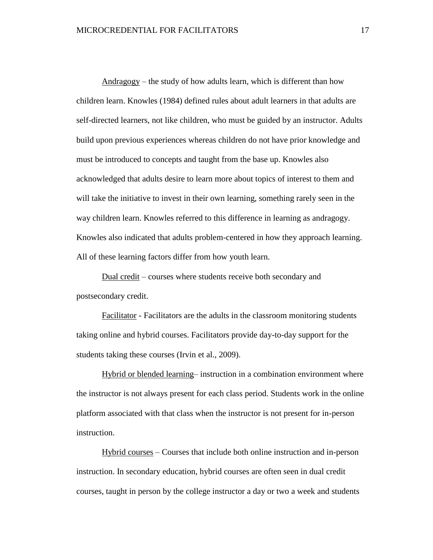Andragogy – the study of how adults learn, which is different than how children learn. Knowles (1984) defined rules about adult learners in that adults are self-directed learners, not like children, who must be guided by an instructor. Adults build upon previous experiences whereas children do not have prior knowledge and must be introduced to concepts and taught from the base up. Knowles also acknowledged that adults desire to learn more about topics of interest to them and will take the initiative to invest in their own learning, something rarely seen in the way children learn. Knowles referred to this difference in learning as andragogy. Knowles also indicated that adults problem-centered in how they approach learning. All of these learning factors differ from how youth learn.

Dual credit – courses where students receive both secondary and postsecondary credit.

Facilitator - Facilitators are the adults in the classroom monitoring students taking online and hybrid courses. Facilitators provide day-to-day support for the students taking these courses (Irvin et al., 2009).

Hybrid or blended learning– instruction in a combination environment where the instructor is not always present for each class period. Students work in the online platform associated with that class when the instructor is not present for in-person instruction.

Hybrid courses – Courses that include both online instruction and in-person instruction. In secondary education, hybrid courses are often seen in dual credit courses, taught in person by the college instructor a day or two a week and students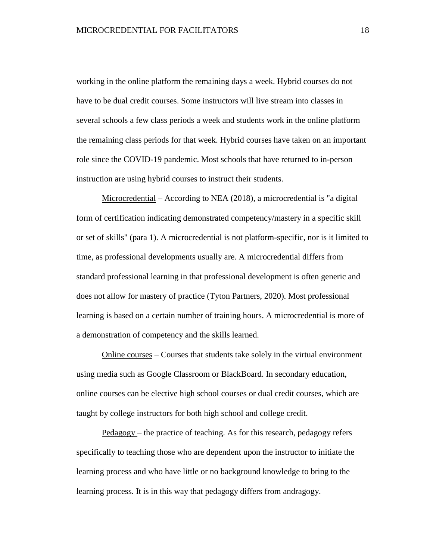working in the online platform the remaining days a week. Hybrid courses do not have to be dual credit courses. Some instructors will live stream into classes in several schools a few class periods a week and students work in the online platform the remaining class periods for that week. Hybrid courses have taken on an important role since the COVID-19 pandemic. Most schools that have returned to in-person instruction are using hybrid courses to instruct their students.

Microcredential – According to NEA (2018), a microcredential is "a digital form of certification indicating demonstrated competency/mastery in a specific skill or set of skills" (para 1). A microcredential is not platform-specific, nor is it limited to time, as professional developments usually are. A microcredential differs from standard professional learning in that professional development is often generic and does not allow for mastery of practice (Tyton Partners, 2020). Most professional learning is based on a certain number of training hours. A microcredential is more of a demonstration of competency and the skills learned.

Online courses – Courses that students take solely in the virtual environment using media such as Google Classroom or BlackBoard. In secondary education, online courses can be elective high school courses or dual credit courses, which are taught by college instructors for both high school and college credit.

Pedagogy – the practice of teaching. As for this research, pedagogy refers specifically to teaching those who are dependent upon the instructor to initiate the learning process and who have little or no background knowledge to bring to the learning process. It is in this way that pedagogy differs from andragogy.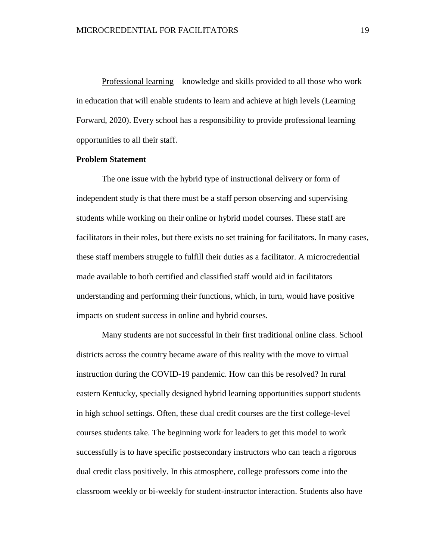Professional learning – knowledge and skills provided to all those who work in education that will enable students to learn and achieve at high levels (Learning Forward, 2020). Every school has a responsibility to provide professional learning opportunities to all their staff.

### **Problem Statement**

The one issue with the hybrid type of instructional delivery or form of independent study is that there must be a staff person observing and supervising students while working on their online or hybrid model courses. These staff are facilitators in their roles, but there exists no set training for facilitators. In many cases, these staff members struggle to fulfill their duties as a facilitator. A microcredential made available to both certified and classified staff would aid in facilitators understanding and performing their functions, which, in turn, would have positive impacts on student success in online and hybrid courses.

Many students are not successful in their first traditional online class. School districts across the country became aware of this reality with the move to virtual instruction during the COVID-19 pandemic. How can this be resolved? In rural eastern Kentucky, specially designed hybrid learning opportunities support students in high school settings. Often, these dual credit courses are the first college-level courses students take. The beginning work for leaders to get this model to work successfully is to have specific postsecondary instructors who can teach a rigorous dual credit class positively. In this atmosphere, college professors come into the classroom weekly or bi-weekly for student-instructor interaction. Students also have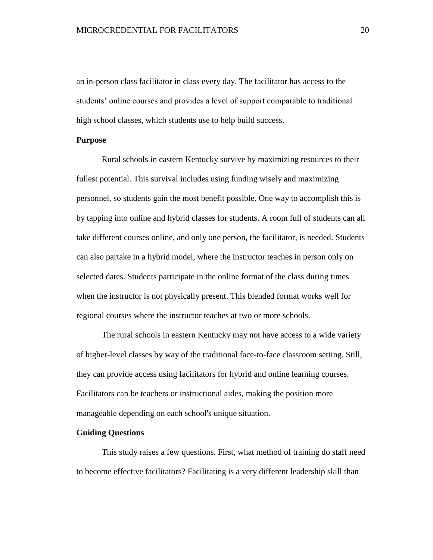an in-person class facilitator in class every day. The facilitator has access to the students' online courses and provides a level of support comparable to traditional high school classes, which students use to help build success.

### **Purpose**

Rural schools in eastern Kentucky survive by maximizing resources to their fullest potential. This survival includes using funding wisely and maximizing personnel, so students gain the most benefit possible. One way to accomplish this is by tapping into online and hybrid classes for students. A room full of students can all take different courses online, and only one person, the facilitator, is needed. Students can also partake in a hybrid model, where the instructor teaches in person only on selected dates. Students participate in the online format of the class during times when the instructor is not physically present. This blended format works well for regional courses where the instructor teaches at two or more schools.

The rural schools in eastern Kentucky may not have access to a wide variety of higher-level classes by way of the traditional face-to-face classroom setting. Still, they can provide access using facilitators for hybrid and online learning courses. Facilitators can be teachers or instructional aides, making the position more manageable depending on each school's unique situation.

### **Guiding Questions**

This study raises a few questions. First, what method of training do staff need to become effective facilitators? Facilitating is a very different leadership skill than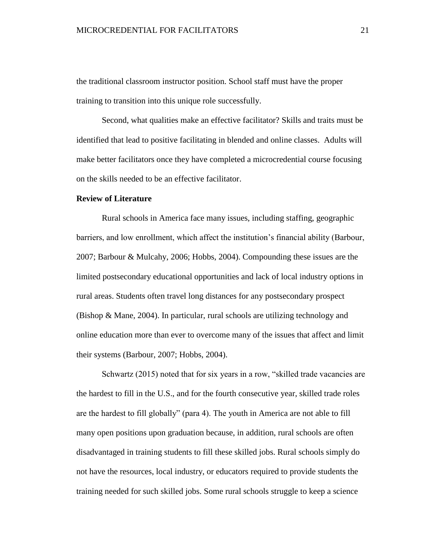the traditional classroom instructor position. School staff must have the proper training to transition into this unique role successfully.

Second, what qualities make an effective facilitator? Skills and traits must be identified that lead to positive facilitating in blended and online classes. Adults will make better facilitators once they have completed a microcredential course focusing on the skills needed to be an effective facilitator.

### **Review of Literature**

Rural schools in America face many issues, including staffing, geographic barriers, and low enrollment, which affect the institution's financial ability (Barbour, 2007; Barbour & Mulcahy, 2006; Hobbs, 2004). Compounding these issues are the limited postsecondary educational opportunities and lack of local industry options in rural areas. Students often travel long distances for any postsecondary prospect (Bishop & Mane, 2004). In particular, rural schools are utilizing technology and online education more than ever to overcome many of the issues that affect and limit their systems (Barbour, 2007; Hobbs, 2004).

Schwartz (2015) noted that for six years in a row, "skilled trade vacancies are the hardest to fill in the U.S., and for the fourth consecutive year, skilled trade roles are the hardest to fill globally" (para 4). The youth in America are not able to fill many open positions upon graduation because, in addition, rural schools are often disadvantaged in training students to fill these skilled jobs. Rural schools simply do not have the resources, local industry, or educators required to provide students the training needed for such skilled jobs. Some rural schools struggle to keep a science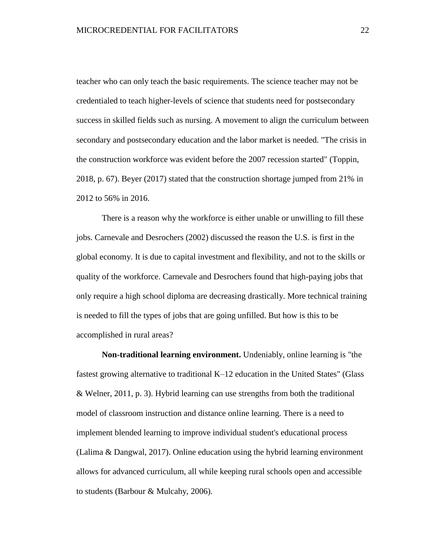teacher who can only teach the basic requirements. The science teacher may not be credentialed to teach higher-levels of science that students need for postsecondary success in skilled fields such as nursing. A movement to align the curriculum between secondary and postsecondary education and the labor market is needed. "The crisis in the construction workforce was evident before the 2007 recession started" (Toppin, 2018, p. 67). Beyer (2017) stated that the construction shortage jumped from 21% in 2012 to 56% in 2016.

There is a reason why the workforce is either unable or unwilling to fill these jobs. Carnevale and Desrochers (2002) discussed the reason the U.S. is first in the global economy. It is due to capital investment and flexibility, and not to the skills or quality of the workforce. Carnevale and Desrochers found that high-paying jobs that only require a high school diploma are decreasing drastically. More technical training is needed to fill the types of jobs that are going unfilled. But how is this to be accomplished in rural areas?

**Non-traditional learning environment.** Undeniably, online learning is "the fastest growing alternative to traditional K–12 education in the United States" (Glass & Welner, 2011, p. 3). Hybrid learning can use strengths from both the traditional model of classroom instruction and distance online learning. There is a need to implement blended learning to improve individual student's educational process (Lalima & Dangwal, 2017). Online education using the hybrid learning environment allows for advanced curriculum, all while keeping rural schools open and accessible to students (Barbour & Mulcahy, 2006).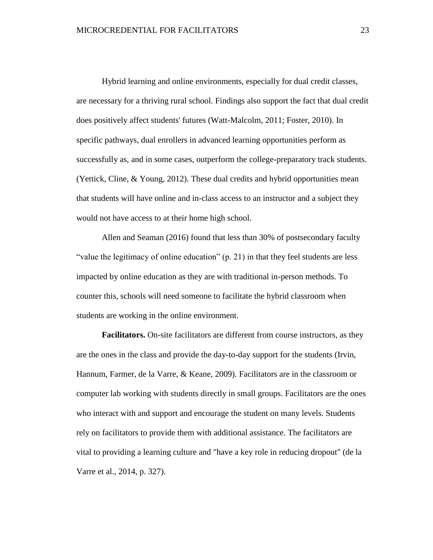Hybrid learning and online environments, especially for dual credit classes, are necessary for a thriving rural school. Findings also support the fact that dual credit does positively affect students' futures (Watt-Malcolm, 2011; Foster, 2010). In specific pathways, dual enrollers in advanced learning opportunities perform as successfully as, and in some cases, outperform the college-preparatory track students. (Yettick, Cline, & Young, 2012). These dual credits and hybrid opportunities mean that students will have online and in-class access to an instructor and a subject they would not have access to at their home high school.

Allen and Seaman (2016) found that less than 30% of postsecondary faculty "value the legitimacy of online education" (p. 21) in that they feel students are less impacted by online education as they are with traditional in-person methods. To counter this, schools will need someone to facilitate the hybrid classroom when students are working in the online environment.

**Facilitators.** On-site facilitators are different from course instructors, as they are the ones in the class and provide the day-to-day support for the students (Irvin, Hannum, Farmer, de la Varre, & Keane, 2009). Facilitators are in the classroom or computer lab working with students directly in small groups. Facilitators are the ones who interact with and support and encourage the student on many levels. Students rely on facilitators to provide them with additional assistance. The facilitators are vital to providing a learning culture and "have a key role in reducing dropout" (de la Varre et al., 2014, p. 327).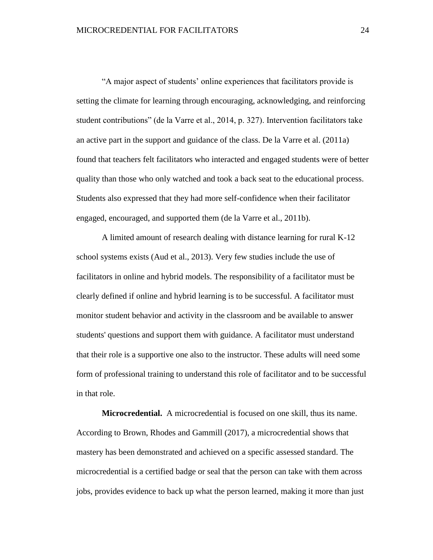"A major aspect of students' online experiences that facilitators provide is setting the climate for learning through encouraging, acknowledging, and reinforcing student contributions" (de la Varre et al., 2014, p. 327). Intervention facilitators take an active part in the support and guidance of the class. De la Varre et al. (2011a) found that teachers felt facilitators who interacted and engaged students were of better quality than those who only watched and took a back seat to the educational process. Students also expressed that they had more self-confidence when their facilitator engaged, encouraged, and supported them (de la Varre et al., 2011b).

A limited amount of research dealing with distance learning for rural K-12 school systems exists (Aud et al., 2013). Very few studies include the use of facilitators in online and hybrid models. The responsibility of a facilitator must be clearly defined if online and hybrid learning is to be successful. A facilitator must monitor student behavior and activity in the classroom and be available to answer students' questions and support them with guidance. A facilitator must understand that their role is a supportive one also to the instructor. These adults will need some form of professional training to understand this role of facilitator and to be successful in that role.

**Microcredential.** A microcredential is focused on one skill, thus its name. According to Brown, Rhodes and Gammill (2017), a microcredential shows that mastery has been demonstrated and achieved on a specific assessed standard. The microcredential is a certified badge or seal that the person can take with them across jobs, provides evidence to back up what the person learned, making it more than just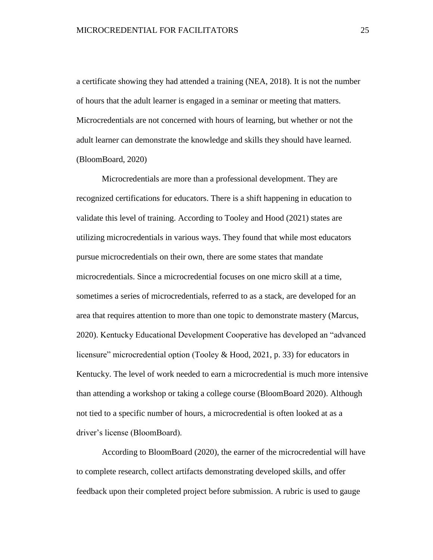a certificate showing they had attended a training (NEA, 2018). It is not the number of hours that the adult learner is engaged in a seminar or meeting that matters. Microcredentials are not concerned with hours of learning, but whether or not the adult learner can demonstrate the knowledge and skills they should have learned. (BloomBoard, 2020)

Microcredentials are more than a professional development. They are recognized certifications for educators. There is a shift happening in education to validate this level of training. According to Tooley and Hood (2021) states are utilizing microcredentials in various ways. They found that while most educators pursue microcredentials on their own, there are some states that mandate microcredentials. Since a microcredential focuses on one micro skill at a time, sometimes a series of microcredentials, referred to as a stack, are developed for an area that requires attention to more than one topic to demonstrate mastery (Marcus, 2020). Kentucky Educational Development Cooperative has developed an "advanced licensure" microcredential option (Tooley & Hood, 2021, p. 33) for educators in Kentucky. The level of work needed to earn a microcredential is much more intensive than attending a workshop or taking a college course (BloomBoard 2020). Although not tied to a specific number of hours, a microcredential is often looked at as a driver's license (BloomBoard).

According to BloomBoard (2020), the earner of the microcredential will have to complete research, collect artifacts demonstrating developed skills, and offer feedback upon their completed project before submission. A rubric is used to gauge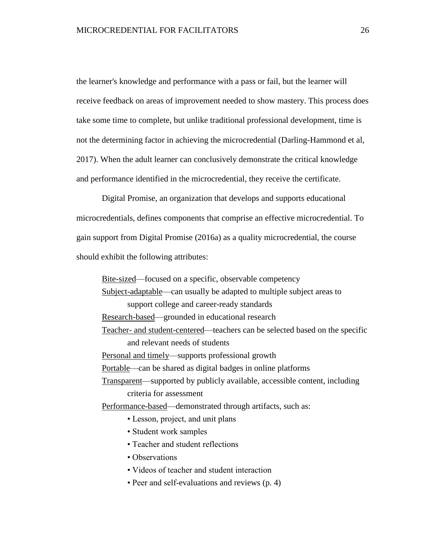the learner's knowledge and performance with a pass or fail, but the learner will receive feedback on areas of improvement needed to show mastery. This process does take some time to complete, but unlike traditional professional development, time is not the determining factor in achieving the microcredential (Darling-Hammond et al, 2017). When the adult learner can conclusively demonstrate the critical knowledge and performance identified in the microcredential, they receive the certificate.

Digital Promise, an organization that develops and supports educational microcredentials, defines components that comprise an effective microcredential. To gain support from Digital Promise (2016a) as a quality microcredential, the course should exhibit the following attributes:

Bite-sized—focused on a specific, observable competency

Subject-adaptable—can usually be adapted to multiple subject areas to support college and career-ready standards

Research-based—grounded in educational research

Teacher- and student-centered—teachers can be selected based on the specific and relevant needs of students

Personal and timely—supports professional growth

Portable—can be shared as digital badges in online platforms

Transparent—supported by publicly available, accessible content, including criteria for assessment

Performance-based—demonstrated through artifacts, such as:

- Lesson, project, and unit plans
- Student work samples
- Teacher and student reflections
- Observations
- Videos of teacher and student interaction
- Peer and self-evaluations and reviews (p. 4)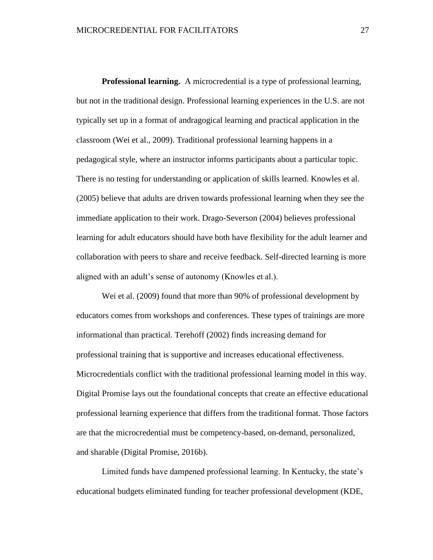**Professional learning.** A microcredential is a type of professional learning, but not in the traditional design. Professional learning experiences in the U.S. are not typically set up in a format of andragogical learning and practical application in the classroom (Wei et al., 2009). Traditional professional learning happens in a pedagogical style, where an instructor informs participants about a particular topic. There is no testing for understanding or application of skills learned. Knowles et al. (2005) believe that adults are driven towards professional learning when they see the immediate application to their work. Drago-Severson (2004) believes professional learning for adult educators should have both have flexibility for the adult learner and collaboration with peers to share and receive feedback. Self-directed learning is more aligned with an adult's sense of autonomy (Knowles et al.).

Wei et al. (2009) found that more than 90% of professional development by educators comes from workshops and conferences. These types of trainings are more informational than practical. Terehoff (2002) finds increasing demand for professional training that is supportive and increases educational effectiveness. Microcredentials conflict with the traditional professional learning model in this way. Digital Promise lays out the foundational concepts that create an effective educational professional learning experience that differs from the traditional format. Those factors are that the microcredential must be competency-based, on-demand, personalized, and sharable (Digital Promise, 2016b).

Limited funds have dampened professional learning. In Kentucky, the state's educational budgets eliminated funding for teacher professional development (KDE,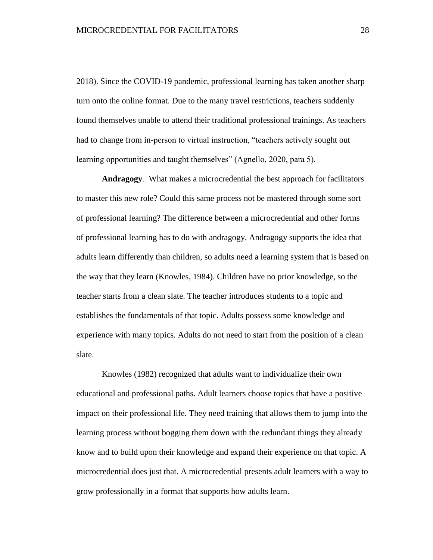2018). Since the COVID-19 pandemic, professional learning has taken another sharp turn onto the online format. Due to the many travel restrictions, teachers suddenly found themselves unable to attend their traditional professional trainings. As teachers had to change from in-person to virtual instruction, "teachers actively sought out learning opportunities and taught themselves" (Agnello, 2020, para 5).

**Andragogy***.* What makes a microcredential the best approach for facilitators to master this new role? Could this same process not be mastered through some sort of professional learning? The difference between a microcredential and other forms of professional learning has to do with andragogy. Andragogy supports the idea that adults learn differently than children, so adults need a learning system that is based on the way that they learn (Knowles, 1984). Children have no prior knowledge, so the teacher starts from a clean slate. The teacher introduces students to a topic and establishes the fundamentals of that topic. Adults possess some knowledge and experience with many topics. Adults do not need to start from the position of a clean slate.

Knowles (1982) recognized that adults want to individualize their own educational and professional paths. Adult learners choose topics that have a positive impact on their professional life. They need training that allows them to jump into the learning process without bogging them down with the redundant things they already know and to build upon their knowledge and expand their experience on that topic. A microcredential does just that. A microcredential presents adult learners with a way to grow professionally in a format that supports how adults learn.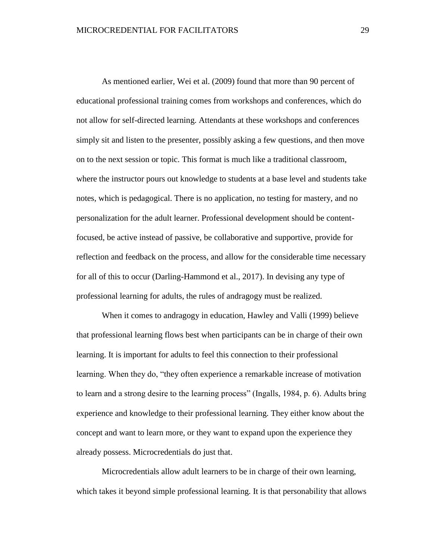As mentioned earlier, Wei et al. (2009) found that more than 90 percent of educational professional training comes from workshops and conferences, which do not allow for self-directed learning. Attendants at these workshops and conferences simply sit and listen to the presenter, possibly asking a few questions, and then move on to the next session or topic. This format is much like a traditional classroom, where the instructor pours out knowledge to students at a base level and students take notes, which is pedagogical. There is no application, no testing for mastery, and no personalization for the adult learner. Professional development should be contentfocused, be active instead of passive, be collaborative and supportive, provide for reflection and feedback on the process, and allow for the considerable time necessary for all of this to occur (Darling-Hammond et al., 2017). In devising any type of professional learning for adults, the rules of andragogy must be realized.

When it comes to andragogy in education, Hawley and Valli (1999) believe that professional learning flows best when participants can be in charge of their own learning. It is important for adults to feel this connection to their professional learning. When they do, "they often experience a remarkable increase of motivation to learn and a strong desire to the learning process" (Ingalls, 1984, p. 6). Adults bring experience and knowledge to their professional learning. They either know about the concept and want to learn more, or they want to expand upon the experience they already possess. Microcredentials do just that.

Microcredentials allow adult learners to be in charge of their own learning, which takes it beyond simple professional learning. It is that personability that allows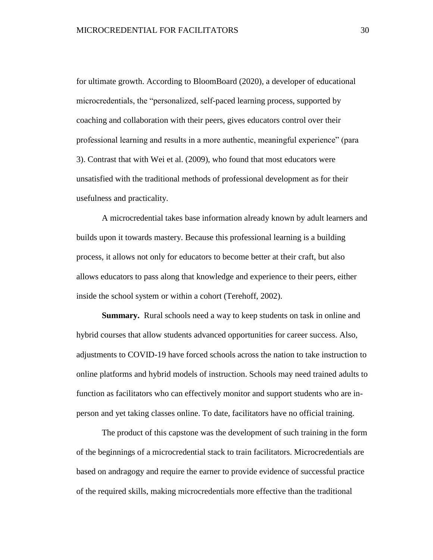for ultimate growth. According to BloomBoard (2020), a developer of educational microcredentials, the "personalized, self-paced learning process, supported by coaching and collaboration with their peers, gives educators control over their professional learning and results in a more authentic, meaningful experience" (para 3). Contrast that with Wei et al. (2009), who found that most educators were unsatisfied with the traditional methods of professional development as for their usefulness and practicality.

A microcredential takes base information already known by adult learners and builds upon it towards mastery. Because this professional learning is a building process, it allows not only for educators to become better at their craft, but also allows educators to pass along that knowledge and experience to their peers, either inside the school system or within a cohort (Terehoff, 2002).

**Summary.** Rural schools need a way to keep students on task in online and hybrid courses that allow students advanced opportunities for career success. Also, adjustments to COVID-19 have forced schools across the nation to take instruction to online platforms and hybrid models of instruction. Schools may need trained adults to function as facilitators who can effectively monitor and support students who are inperson and yet taking classes online. To date, facilitators have no official training.

The product of this capstone was the development of such training in the form of the beginnings of a microcredential stack to train facilitators. Microcredentials are based on andragogy and require the earner to provide evidence of successful practice of the required skills, making microcredentials more effective than the traditional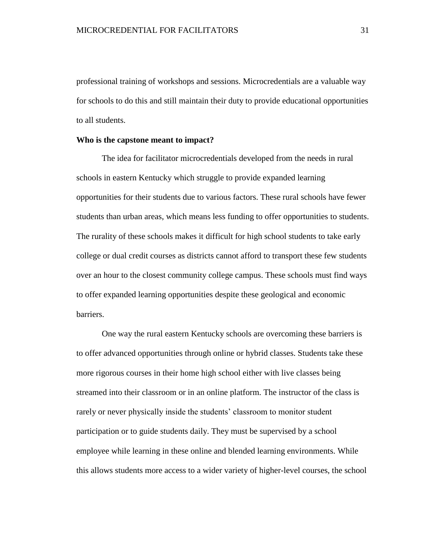professional training of workshops and sessions. Microcredentials are a valuable way for schools to do this and still maintain their duty to provide educational opportunities to all students.

### **Who is the capstone meant to impact?**

The idea for facilitator microcredentials developed from the needs in rural schools in eastern Kentucky which struggle to provide expanded learning opportunities for their students due to various factors. These rural schools have fewer students than urban areas, which means less funding to offer opportunities to students. The rurality of these schools makes it difficult for high school students to take early college or dual credit courses as districts cannot afford to transport these few students over an hour to the closest community college campus. These schools must find ways to offer expanded learning opportunities despite these geological and economic barriers.

One way the rural eastern Kentucky schools are overcoming these barriers is to offer advanced opportunities through online or hybrid classes. Students take these more rigorous courses in their home high school either with live classes being streamed into their classroom or in an online platform. The instructor of the class is rarely or never physically inside the students' classroom to monitor student participation or to guide students daily. They must be supervised by a school employee while learning in these online and blended learning environments. While this allows students more access to a wider variety of higher-level courses, the school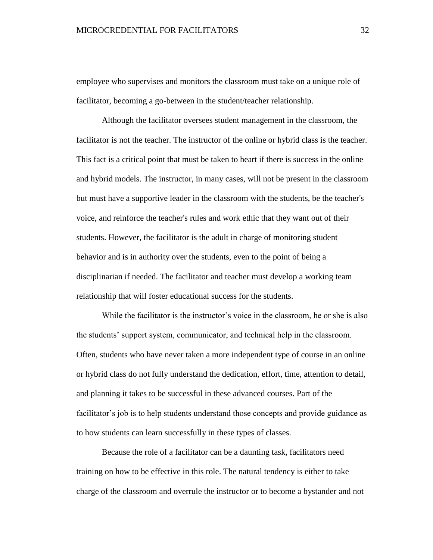employee who supervises and monitors the classroom must take on a unique role of facilitator, becoming a go-between in the student/teacher relationship.

Although the facilitator oversees student management in the classroom, the facilitator is not the teacher. The instructor of the online or hybrid class is the teacher. This fact is a critical point that must be taken to heart if there is success in the online and hybrid models. The instructor, in many cases, will not be present in the classroom but must have a supportive leader in the classroom with the students, be the teacher's voice, and reinforce the teacher's rules and work ethic that they want out of their students. However, the facilitator is the adult in charge of monitoring student behavior and is in authority over the students, even to the point of being a disciplinarian if needed. The facilitator and teacher must develop a working team relationship that will foster educational success for the students.

While the facilitator is the instructor's voice in the classroom, he or she is also the students' support system, communicator, and technical help in the classroom. Often, students who have never taken a more independent type of course in an online or hybrid class do not fully understand the dedication, effort, time, attention to detail, and planning it takes to be successful in these advanced courses. Part of the facilitator's job is to help students understand those concepts and provide guidance as to how students can learn successfully in these types of classes.

Because the role of a facilitator can be a daunting task, facilitators need training on how to be effective in this role. The natural tendency is either to take charge of the classroom and overrule the instructor or to become a bystander and not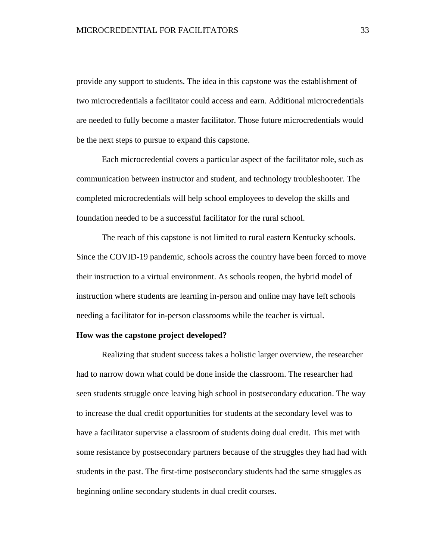provide any support to students. The idea in this capstone was the establishment of two microcredentials a facilitator could access and earn. Additional microcredentials are needed to fully become a master facilitator. Those future microcredentials would be the next steps to pursue to expand this capstone.

Each microcredential covers a particular aspect of the facilitator role, such as communication between instructor and student, and technology troubleshooter. The completed microcredentials will help school employees to develop the skills and foundation needed to be a successful facilitator for the rural school.

The reach of this capstone is not limited to rural eastern Kentucky schools. Since the COVID-19 pandemic, schools across the country have been forced to move their instruction to a virtual environment. As schools reopen, the hybrid model of instruction where students are learning in-person and online may have left schools needing a facilitator for in-person classrooms while the teacher is virtual.

#### **How was the capstone project developed?**

Realizing that student success takes a holistic larger overview, the researcher had to narrow down what could be done inside the classroom. The researcher had seen students struggle once leaving high school in postsecondary education. The way to increase the dual credit opportunities for students at the secondary level was to have a facilitator supervise a classroom of students doing dual credit. This met with some resistance by postsecondary partners because of the struggles they had had with students in the past. The first-time postsecondary students had the same struggles as beginning online secondary students in dual credit courses.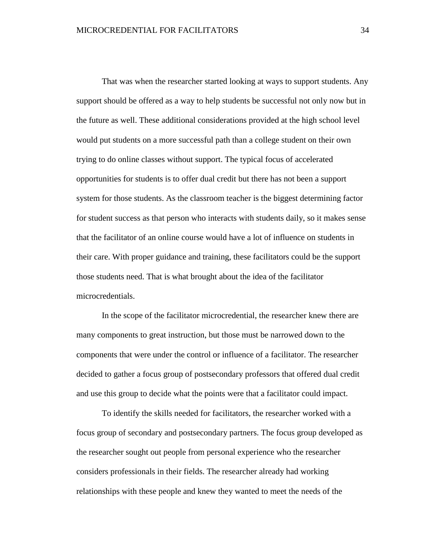That was when the researcher started looking at ways to support students. Any support should be offered as a way to help students be successful not only now but in the future as well. These additional considerations provided at the high school level would put students on a more successful path than a college student on their own trying to do online classes without support. The typical focus of accelerated opportunities for students is to offer dual credit but there has not been a support system for those students. As the classroom teacher is the biggest determining factor for student success as that person who interacts with students daily, so it makes sense that the facilitator of an online course would have a lot of influence on students in their care. With proper guidance and training, these facilitators could be the support those students need. That is what brought about the idea of the facilitator microcredentials.

In the scope of the facilitator microcredential, the researcher knew there are many components to great instruction, but those must be narrowed down to the components that were under the control or influence of a facilitator. The researcher decided to gather a focus group of postsecondary professors that offered dual credit and use this group to decide what the points were that a facilitator could impact.

To identify the skills needed for facilitators, the researcher worked with a focus group of secondary and postsecondary partners. The focus group developed as the researcher sought out people from personal experience who the researcher considers professionals in their fields. The researcher already had working relationships with these people and knew they wanted to meet the needs of the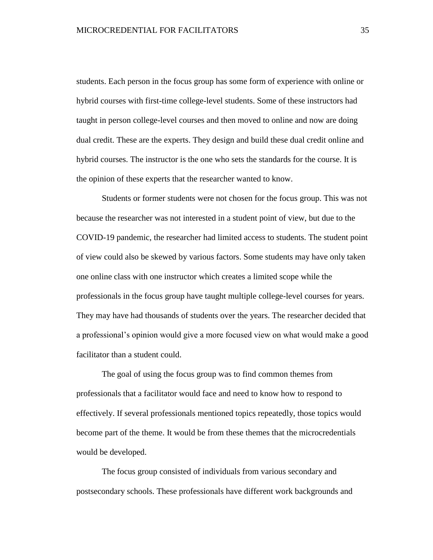students. Each person in the focus group has some form of experience with online or hybrid courses with first-time college-level students. Some of these instructors had taught in person college-level courses and then moved to online and now are doing dual credit. These are the experts. They design and build these dual credit online and hybrid courses. The instructor is the one who sets the standards for the course. It is the opinion of these experts that the researcher wanted to know.

Students or former students were not chosen for the focus group. This was not because the researcher was not interested in a student point of view, but due to the COVID-19 pandemic, the researcher had limited access to students. The student point of view could also be skewed by various factors. Some students may have only taken one online class with one instructor which creates a limited scope while the professionals in the focus group have taught multiple college-level courses for years. They may have had thousands of students over the years. The researcher decided that a professional's opinion would give a more focused view on what would make a good facilitator than a student could.

The goal of using the focus group was to find common themes from professionals that a facilitator would face and need to know how to respond to effectively. If several professionals mentioned topics repeatedly, those topics would become part of the theme. It would be from these themes that the microcredentials would be developed.

The focus group consisted of individuals from various secondary and postsecondary schools. These professionals have different work backgrounds and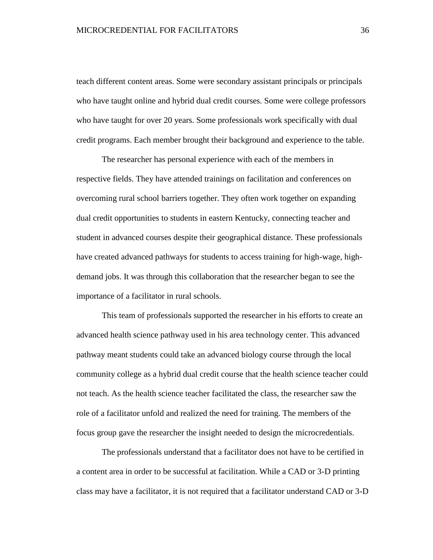teach different content areas. Some were secondary assistant principals or principals who have taught online and hybrid dual credit courses. Some were college professors who have taught for over 20 years. Some professionals work specifically with dual credit programs. Each member brought their background and experience to the table.

The researcher has personal experience with each of the members in respective fields. They have attended trainings on facilitation and conferences on overcoming rural school barriers together. They often work together on expanding dual credit opportunities to students in eastern Kentucky, connecting teacher and student in advanced courses despite their geographical distance. These professionals have created advanced pathways for students to access training for high-wage, highdemand jobs. It was through this collaboration that the researcher began to see the importance of a facilitator in rural schools.

This team of professionals supported the researcher in his efforts to create an advanced health science pathway used in his area technology center. This advanced pathway meant students could take an advanced biology course through the local community college as a hybrid dual credit course that the health science teacher could not teach. As the health science teacher facilitated the class, the researcher saw the role of a facilitator unfold and realized the need for training. The members of the focus group gave the researcher the insight needed to design the microcredentials.

The professionals understand that a facilitator does not have to be certified in a content area in order to be successful at facilitation. While a CAD or 3-D printing class may have a facilitator, it is not required that a facilitator understand CAD or 3-D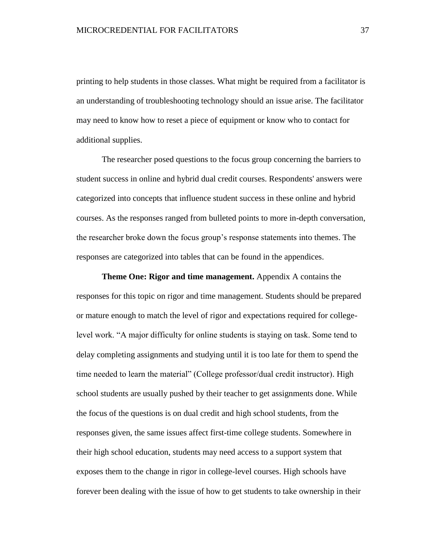printing to help students in those classes. What might be required from a facilitator is an understanding of troubleshooting technology should an issue arise. The facilitator may need to know how to reset a piece of equipment or know who to contact for additional supplies.

The researcher posed questions to the focus group concerning the barriers to student success in online and hybrid dual credit courses. Respondents' answers were categorized into concepts that influence student success in these online and hybrid courses. As the responses ranged from bulleted points to more in-depth conversation, the researcher broke down the focus group's response statements into themes. The responses are categorized into tables that can be found in the appendices.

**Theme One: Rigor and time management.** Appendix A contains the responses for this topic on rigor and time management. Students should be prepared or mature enough to match the level of rigor and expectations required for collegelevel work. "A major difficulty for online students is staying on task. Some tend to delay completing assignments and studying until it is too late for them to spend the time needed to learn the material" (College professor/dual credit instructor). High school students are usually pushed by their teacher to get assignments done. While the focus of the questions is on dual credit and high school students, from the responses given, the same issues affect first-time college students. Somewhere in their high school education, students may need access to a support system that exposes them to the change in rigor in college-level courses. High schools have forever been dealing with the issue of how to get students to take ownership in their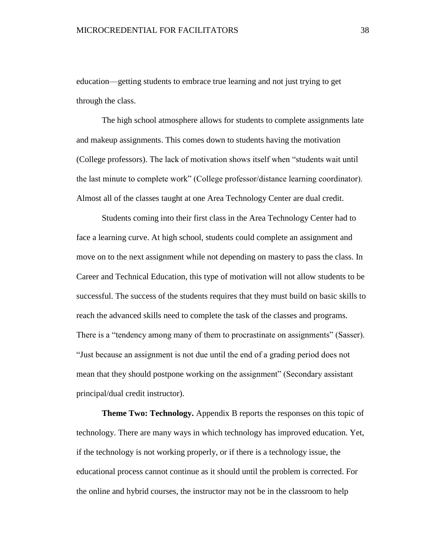education—getting students to embrace true learning and not just trying to get through the class.

The high school atmosphere allows for students to complete assignments late and makeup assignments. This comes down to students having the motivation (College professors). The lack of motivation shows itself when "students wait until the last minute to complete work" (College professor/distance learning coordinator). Almost all of the classes taught at one Area Technology Center are dual credit.

Students coming into their first class in the Area Technology Center had to face a learning curve. At high school, students could complete an assignment and move on to the next assignment while not depending on mastery to pass the class. In Career and Technical Education, this type of motivation will not allow students to be successful. The success of the students requires that they must build on basic skills to reach the advanced skills need to complete the task of the classes and programs. There is a "tendency among many of them to procrastinate on assignments" (Sasser). "Just because an assignment is not due until the end of a grading period does not mean that they should postpone working on the assignment" (Secondary assistant principal/dual credit instructor).

**Theme Two: Technology.** Appendix B reports the responses on this topic of technology. There are many ways in which technology has improved education. Yet, if the technology is not working properly, or if there is a technology issue, the educational process cannot continue as it should until the problem is corrected. For the online and hybrid courses, the instructor may not be in the classroom to help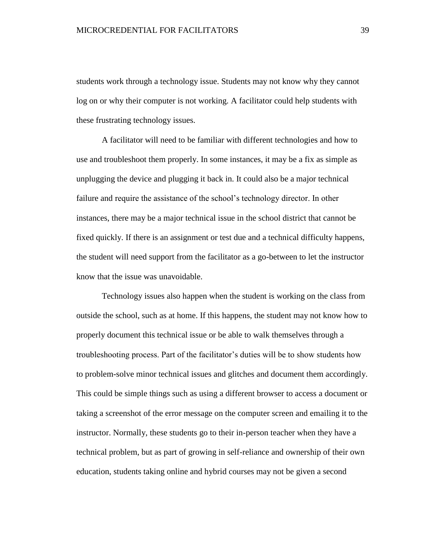students work through a technology issue. Students may not know why they cannot log on or why their computer is not working. A facilitator could help students with these frustrating technology issues.

A facilitator will need to be familiar with different technologies and how to use and troubleshoot them properly. In some instances, it may be a fix as simple as unplugging the device and plugging it back in. It could also be a major technical failure and require the assistance of the school's technology director. In other instances, there may be a major technical issue in the school district that cannot be fixed quickly. If there is an assignment or test due and a technical difficulty happens, the student will need support from the facilitator as a go-between to let the instructor know that the issue was unavoidable.

Technology issues also happen when the student is working on the class from outside the school, such as at home. If this happens, the student may not know how to properly document this technical issue or be able to walk themselves through a troubleshooting process. Part of the facilitator's duties will be to show students how to problem-solve minor technical issues and glitches and document them accordingly. This could be simple things such as using a different browser to access a document or taking a screenshot of the error message on the computer screen and emailing it to the instructor. Normally, these students go to their in-person teacher when they have a technical problem, but as part of growing in self-reliance and ownership of their own education, students taking online and hybrid courses may not be given a second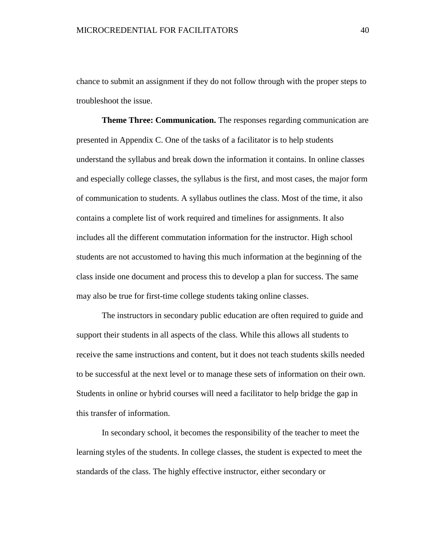chance to submit an assignment if they do not follow through with the proper steps to troubleshoot the issue.

**Theme Three: Communication.** The responses regarding communication are presented in Appendix C. One of the tasks of a facilitator is to help students understand the syllabus and break down the information it contains. In online classes and especially college classes, the syllabus is the first, and most cases, the major form of communication to students. A syllabus outlines the class. Most of the time, it also contains a complete list of work required and timelines for assignments. It also includes all the different commutation information for the instructor. High school students are not accustomed to having this much information at the beginning of the class inside one document and process this to develop a plan for success. The same may also be true for first-time college students taking online classes.

The instructors in secondary public education are often required to guide and support their students in all aspects of the class. While this allows all students to receive the same instructions and content, but it does not teach students skills needed to be successful at the next level or to manage these sets of information on their own. Students in online or hybrid courses will need a facilitator to help bridge the gap in this transfer of information.

In secondary school, it becomes the responsibility of the teacher to meet the learning styles of the students. In college classes, the student is expected to meet the standards of the class. The highly effective instructor, either secondary or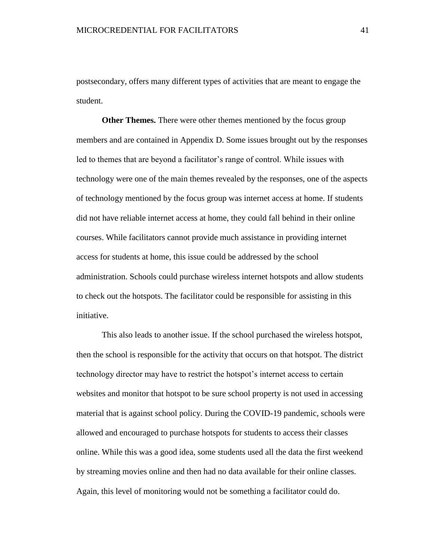postsecondary, offers many different types of activities that are meant to engage the student.

**Other Themes.** There were other themes mentioned by the focus group members and are contained in Appendix D. Some issues brought out by the responses led to themes that are beyond a facilitator's range of control. While issues with technology were one of the main themes revealed by the responses, one of the aspects of technology mentioned by the focus group was internet access at home. If students did not have reliable internet access at home, they could fall behind in their online courses. While facilitators cannot provide much assistance in providing internet access for students at home, this issue could be addressed by the school administration. Schools could purchase wireless internet hotspots and allow students to check out the hotspots. The facilitator could be responsible for assisting in this initiative.

This also leads to another issue. If the school purchased the wireless hotspot, then the school is responsible for the activity that occurs on that hotspot. The district technology director may have to restrict the hotspot's internet access to certain websites and monitor that hotspot to be sure school property is not used in accessing material that is against school policy. During the COVID-19 pandemic, schools were allowed and encouraged to purchase hotspots for students to access their classes online. While this was a good idea, some students used all the data the first weekend by streaming movies online and then had no data available for their online classes. Again, this level of monitoring would not be something a facilitator could do.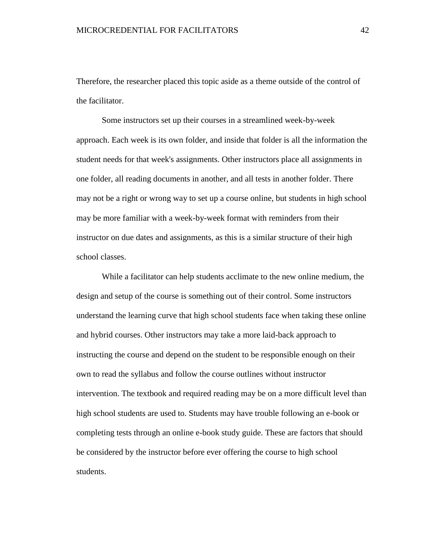Therefore, the researcher placed this topic aside as a theme outside of the control of the facilitator.

Some instructors set up their courses in a streamlined week-by-week approach. Each week is its own folder, and inside that folder is all the information the student needs for that week's assignments. Other instructors place all assignments in one folder, all reading documents in another, and all tests in another folder. There may not be a right or wrong way to set up a course online, but students in high school may be more familiar with a week-by-week format with reminders from their instructor on due dates and assignments, as this is a similar structure of their high school classes.

While a facilitator can help students acclimate to the new online medium, the design and setup of the course is something out of their control. Some instructors understand the learning curve that high school students face when taking these online and hybrid courses. Other instructors may take a more laid-back approach to instructing the course and depend on the student to be responsible enough on their own to read the syllabus and follow the course outlines without instructor intervention. The textbook and required reading may be on a more difficult level than high school students are used to. Students may have trouble following an e-book or completing tests through an online e-book study guide. These are factors that should be considered by the instructor before ever offering the course to high school students.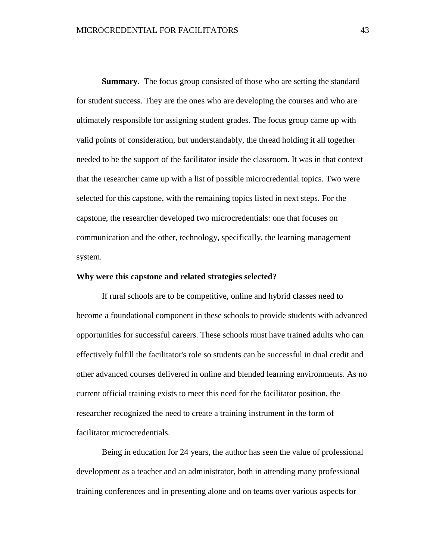**Summary.** The focus group consisted of those who are setting the standard for student success. They are the ones who are developing the courses and who are ultimately responsible for assigning student grades. The focus group came up with valid points of consideration, but understandably, the thread holding it all together needed to be the support of the facilitator inside the classroom. It was in that context that the researcher came up with a list of possible microcredential topics. Two were selected for this capstone, with the remaining topics listed in next steps. For the capstone, the researcher developed two microcredentials: one that focuses on communication and the other, technology, specifically, the learning management system.

### **Why were this capstone and related strategies selected?**

If rural schools are to be competitive, online and hybrid classes need to become a foundational component in these schools to provide students with advanced opportunities for successful careers. These schools must have trained adults who can effectively fulfill the facilitator's role so students can be successful in dual credit and other advanced courses delivered in online and blended learning environments. As no current official training exists to meet this need for the facilitator position, the researcher recognized the need to create a training instrument in the form of facilitator microcredentials.

Being in education for 24 years, the author has seen the value of professional development as a teacher and an administrator, both in attending many professional training conferences and in presenting alone and on teams over various aspects for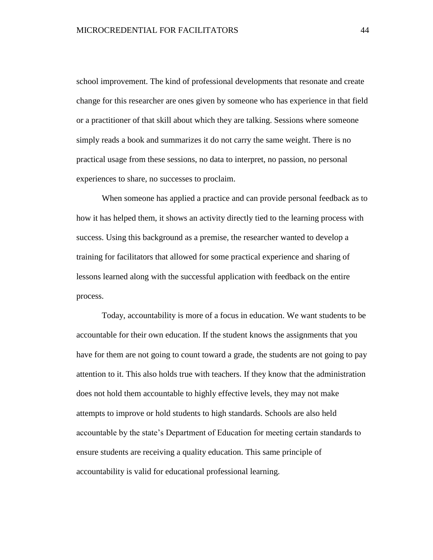school improvement. The kind of professional developments that resonate and create change for this researcher are ones given by someone who has experience in that field or a practitioner of that skill about which they are talking. Sessions where someone simply reads a book and summarizes it do not carry the same weight. There is no practical usage from these sessions, no data to interpret, no passion, no personal experiences to share, no successes to proclaim.

When someone has applied a practice and can provide personal feedback as to how it has helped them, it shows an activity directly tied to the learning process with success. Using this background as a premise, the researcher wanted to develop a training for facilitators that allowed for some practical experience and sharing of lessons learned along with the successful application with feedback on the entire process.

Today, accountability is more of a focus in education. We want students to be accountable for their own education. If the student knows the assignments that you have for them are not going to count toward a grade, the students are not going to pay attention to it. This also holds true with teachers. If they know that the administration does not hold them accountable to highly effective levels, they may not make attempts to improve or hold students to high standards. Schools are also held accountable by the state's Department of Education for meeting certain standards to ensure students are receiving a quality education. This same principle of accountability is valid for educational professional learning.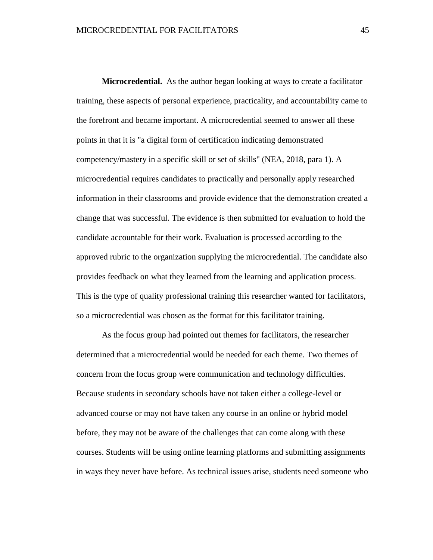**Microcredential.** As the author began looking at ways to create a facilitator training, these aspects of personal experience, practicality, and accountability came to the forefront and became important. A microcredential seemed to answer all these points in that it is "a digital form of certification indicating demonstrated competency/mastery in a specific skill or set of skills" (NEA, 2018, para 1). A microcredential requires candidates to practically and personally apply researched information in their classrooms and provide evidence that the demonstration created a change that was successful. The evidence is then submitted for evaluation to hold the candidate accountable for their work. Evaluation is processed according to the approved rubric to the organization supplying the microcredential. The candidate also provides feedback on what they learned from the learning and application process. This is the type of quality professional training this researcher wanted for facilitators, so a microcredential was chosen as the format for this facilitator training.

As the focus group had pointed out themes for facilitators, the researcher determined that a microcredential would be needed for each theme. Two themes of concern from the focus group were communication and technology difficulties. Because students in secondary schools have not taken either a college-level or advanced course or may not have taken any course in an online or hybrid model before, they may not be aware of the challenges that can come along with these courses. Students will be using online learning platforms and submitting assignments in ways they never have before. As technical issues arise, students need someone who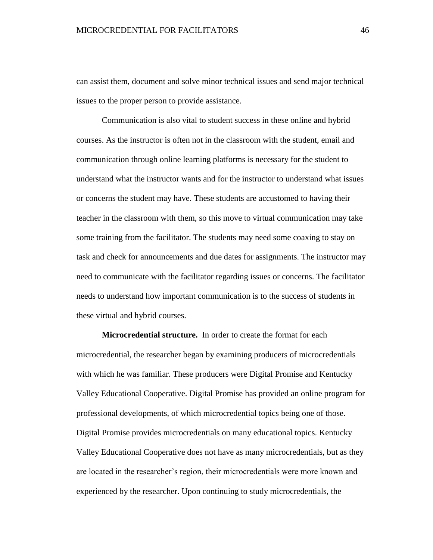can assist them, document and solve minor technical issues and send major technical issues to the proper person to provide assistance.

Communication is also vital to student success in these online and hybrid courses. As the instructor is often not in the classroom with the student, email and communication through online learning platforms is necessary for the student to understand what the instructor wants and for the instructor to understand what issues or concerns the student may have. These students are accustomed to having their teacher in the classroom with them, so this move to virtual communication may take some training from the facilitator. The students may need some coaxing to stay on task and check for announcements and due dates for assignments. The instructor may need to communicate with the facilitator regarding issues or concerns. The facilitator needs to understand how important communication is to the success of students in these virtual and hybrid courses.

**Microcredential structure.** In order to create the format for each microcredential, the researcher began by examining producers of microcredentials with which he was familiar. These producers were Digital Promise and Kentucky Valley Educational Cooperative. Digital Promise has provided an online program for professional developments, of which microcredential topics being one of those. Digital Promise provides microcredentials on many educational topics. Kentucky Valley Educational Cooperative does not have as many microcredentials, but as they are located in the researcher's region, their microcredentials were more known and experienced by the researcher. Upon continuing to study microcredentials, the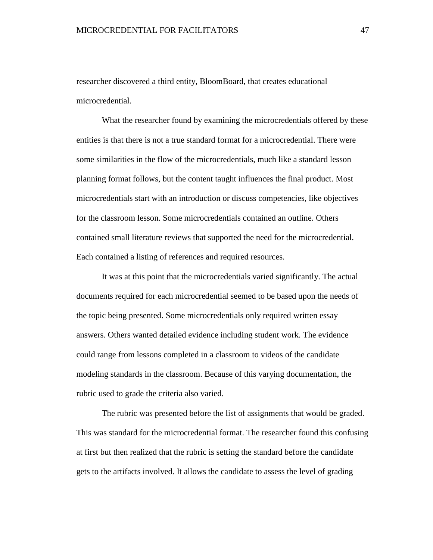researcher discovered a third entity, BloomBoard, that creates educational microcredential.

What the researcher found by examining the microcredentials offered by these entities is that there is not a true standard format for a microcredential. There were some similarities in the flow of the microcredentials, much like a standard lesson planning format follows, but the content taught influences the final product. Most microcredentials start with an introduction or discuss competencies, like objectives for the classroom lesson. Some microcredentials contained an outline. Others contained small literature reviews that supported the need for the microcredential. Each contained a listing of references and required resources.

It was at this point that the microcredentials varied significantly. The actual documents required for each microcredential seemed to be based upon the needs of the topic being presented. Some microcredentials only required written essay answers. Others wanted detailed evidence including student work. The evidence could range from lessons completed in a classroom to videos of the candidate modeling standards in the classroom. Because of this varying documentation, the rubric used to grade the criteria also varied.

The rubric was presented before the list of assignments that would be graded. This was standard for the microcredential format. The researcher found this confusing at first but then realized that the rubric is setting the standard before the candidate gets to the artifacts involved. It allows the candidate to assess the level of grading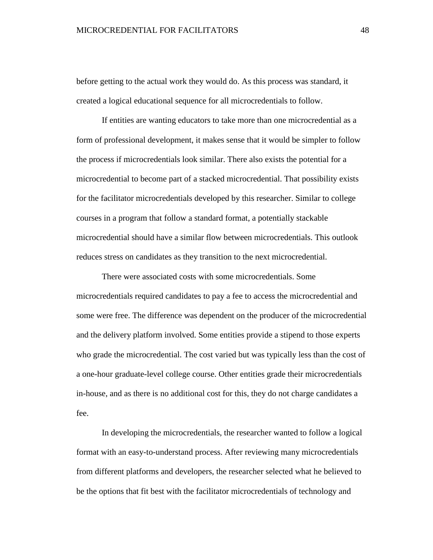before getting to the actual work they would do. As this process was standard, it created a logical educational sequence for all microcredentials to follow.

If entities are wanting educators to take more than one microcredential as a form of professional development, it makes sense that it would be simpler to follow the process if microcredentials look similar. There also exists the potential for a microcredential to become part of a stacked microcredential. That possibility exists for the facilitator microcredentials developed by this researcher. Similar to college courses in a program that follow a standard format, a potentially stackable microcredential should have a similar flow between microcredentials. This outlook reduces stress on candidates as they transition to the next microcredential.

There were associated costs with some microcredentials. Some microcredentials required candidates to pay a fee to access the microcredential and some were free. The difference was dependent on the producer of the microcredential and the delivery platform involved. Some entities provide a stipend to those experts who grade the microcredential. The cost varied but was typically less than the cost of a one-hour graduate-level college course. Other entities grade their microcredentials in-house, and as there is no additional cost for this, they do not charge candidates a fee.

In developing the microcredentials, the researcher wanted to follow a logical format with an easy-to-understand process. After reviewing many microcredentials from different platforms and developers, the researcher selected what he believed to be the options that fit best with the facilitator microcredentials of technology and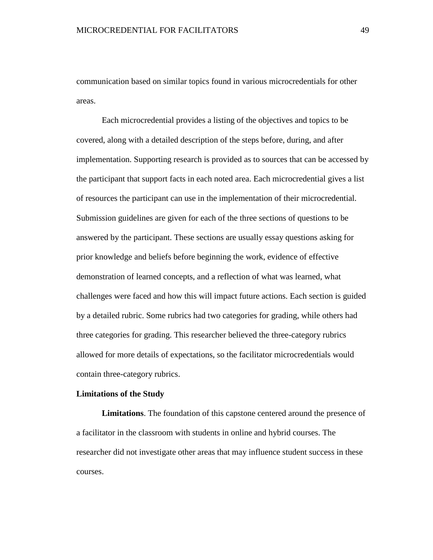communication based on similar topics found in various microcredentials for other areas.

Each microcredential provides a listing of the objectives and topics to be covered, along with a detailed description of the steps before, during, and after implementation. Supporting research is provided as to sources that can be accessed by the participant that support facts in each noted area. Each microcredential gives a list of resources the participant can use in the implementation of their microcredential. Submission guidelines are given for each of the three sections of questions to be answered by the participant. These sections are usually essay questions asking for prior knowledge and beliefs before beginning the work, evidence of effective demonstration of learned concepts, and a reflection of what was learned, what challenges were faced and how this will impact future actions. Each section is guided by a detailed rubric. Some rubrics had two categories for grading, while others had three categories for grading. This researcher believed the three-category rubrics allowed for more details of expectations, so the facilitator microcredentials would contain three-category rubrics.

### **Limitations of the Study**

**Limitations**. The foundation of this capstone centered around the presence of a facilitator in the classroom with students in online and hybrid courses. The researcher did not investigate other areas that may influence student success in these courses.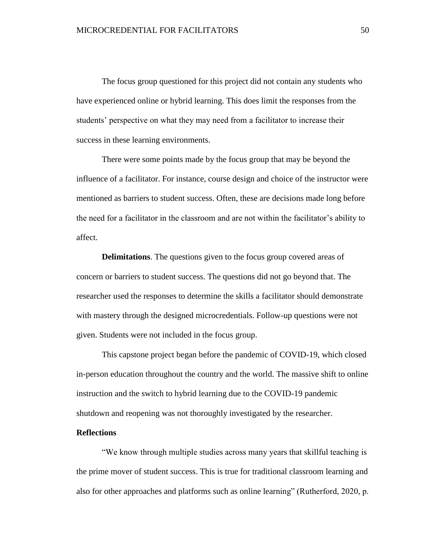The focus group questioned for this project did not contain any students who have experienced online or hybrid learning. This does limit the responses from the students' perspective on what they may need from a facilitator to increase their success in these learning environments.

There were some points made by the focus group that may be beyond the influence of a facilitator. For instance, course design and choice of the instructor were mentioned as barriers to student success. Often, these are decisions made long before the need for a facilitator in the classroom and are not within the facilitator's ability to affect.

**Delimitations**. The questions given to the focus group covered areas of concern or barriers to student success. The questions did not go beyond that. The researcher used the responses to determine the skills a facilitator should demonstrate with mastery through the designed microcredentials. Follow-up questions were not given. Students were not included in the focus group.

This capstone project began before the pandemic of COVID-19, which closed in-person education throughout the country and the world. The massive shift to online instruction and the switch to hybrid learning due to the COVID-19 pandemic shutdown and reopening was not thoroughly investigated by the researcher.

### **Reflections**

"We know through multiple studies across many years that skillful teaching is the prime mover of student success. This is true for traditional classroom learning and also for other approaches and platforms such as online learning" (Rutherford, 2020, p.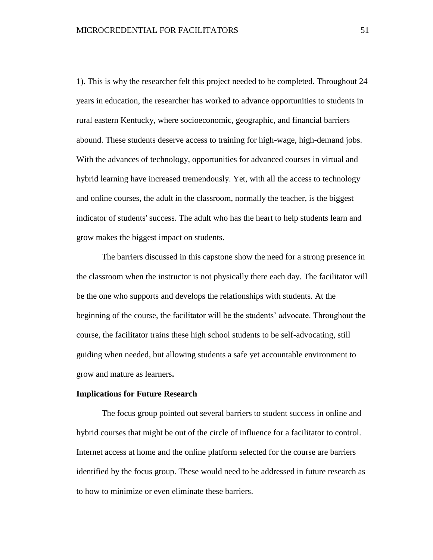1). This is why the researcher felt this project needed to be completed. Throughout 24 years in education, the researcher has worked to advance opportunities to students in rural eastern Kentucky, where socioeconomic, geographic, and financial barriers abound. These students deserve access to training for high-wage, high-demand jobs. With the advances of technology, opportunities for advanced courses in virtual and hybrid learning have increased tremendously. Yet, with all the access to technology and online courses, the adult in the classroom, normally the teacher, is the biggest indicator of students' success. The adult who has the heart to help students learn and grow makes the biggest impact on students.

The barriers discussed in this capstone show the need for a strong presence in the classroom when the instructor is not physically there each day. The facilitator will be the one who supports and develops the relationships with students. At the beginning of the course, the facilitator will be the students' advocate. Throughout the course, the facilitator trains these high school students to be self-advocating, still guiding when needed, but allowing students a safe yet accountable environment to grow and mature as learners**.**

### **Implications for Future Research**

The focus group pointed out several barriers to student success in online and hybrid courses that might be out of the circle of influence for a facilitator to control. Internet access at home and the online platform selected for the course are barriers identified by the focus group. These would need to be addressed in future research as to how to minimize or even eliminate these barriers.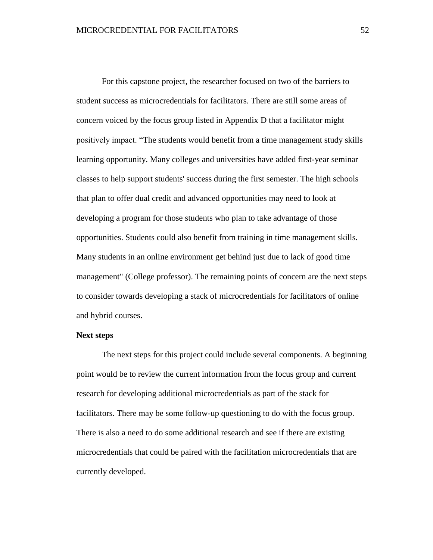For this capstone project, the researcher focused on two of the barriers to student success as microcredentials for facilitators. There are still some areas of concern voiced by the focus group listed in Appendix D that a facilitator might positively impact. "The students would benefit from a time management study skills learning opportunity. Many colleges and universities have added first-year seminar classes to help support students' success during the first semester. The high schools that plan to offer dual credit and advanced opportunities may need to look at developing a program for those students who plan to take advantage of those opportunities. Students could also benefit from training in time management skills. Many students in an online environment get behind just due to lack of good time management" (College professor). The remaining points of concern are the next steps to consider towards developing a stack of microcredentials for facilitators of online and hybrid courses.

### **Next steps**

The next steps for this project could include several components. A beginning point would be to review the current information from the focus group and current research for developing additional microcredentials as part of the stack for facilitators. There may be some follow-up questioning to do with the focus group. There is also a need to do some additional research and see if there are existing microcredentials that could be paired with the facilitation microcredentials that are currently developed.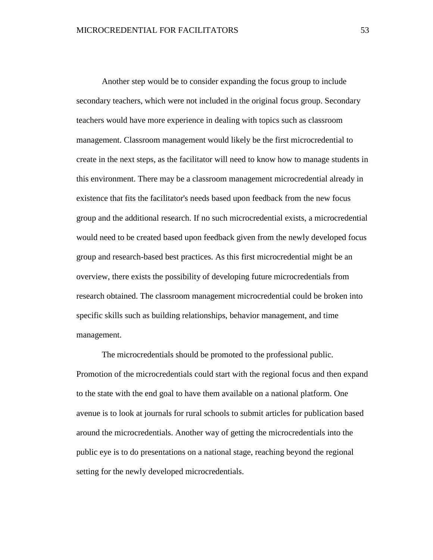Another step would be to consider expanding the focus group to include secondary teachers, which were not included in the original focus group. Secondary teachers would have more experience in dealing with topics such as classroom management. Classroom management would likely be the first microcredential to create in the next steps, as the facilitator will need to know how to manage students in this environment. There may be a classroom management microcredential already in existence that fits the facilitator's needs based upon feedback from the new focus group and the additional research. If no such microcredential exists, a microcredential would need to be created based upon feedback given from the newly developed focus group and research-based best practices. As this first microcredential might be an overview, there exists the possibility of developing future microcredentials from research obtained. The classroom management microcredential could be broken into specific skills such as building relationships, behavior management, and time management.

The microcredentials should be promoted to the professional public. Promotion of the microcredentials could start with the regional focus and then expand to the state with the end goal to have them available on a national platform. One avenue is to look at journals for rural schools to submit articles for publication based around the microcredentials. Another way of getting the microcredentials into the public eye is to do presentations on a national stage, reaching beyond the regional setting for the newly developed microcredentials.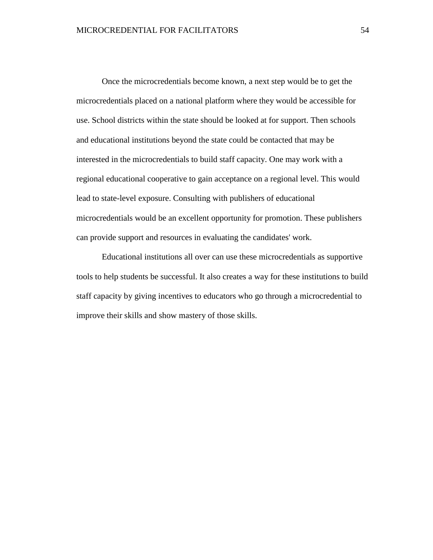Once the microcredentials become known, a next step would be to get the microcredentials placed on a national platform where they would be accessible for use. School districts within the state should be looked at for support. Then schools and educational institutions beyond the state could be contacted that may be interested in the microcredentials to build staff capacity. One may work with a regional educational cooperative to gain acceptance on a regional level. This would lead to state-level exposure. Consulting with publishers of educational microcredentials would be an excellent opportunity for promotion. These publishers can provide support and resources in evaluating the candidates' work.

Educational institutions all over can use these microcredentials as supportive tools to help students be successful. It also creates a way for these institutions to build staff capacity by giving incentives to educators who go through a microcredential to improve their skills and show mastery of those skills.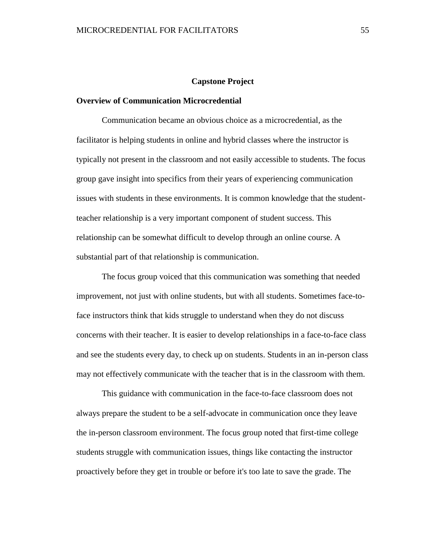### **Capstone Project**

### **Overview of Communication Microcredential**

Communication became an obvious choice as a microcredential, as the facilitator is helping students in online and hybrid classes where the instructor is typically not present in the classroom and not easily accessible to students. The focus group gave insight into specifics from their years of experiencing communication issues with students in these environments. It is common knowledge that the studentteacher relationship is a very important component of student success. This relationship can be somewhat difficult to develop through an online course. A substantial part of that relationship is communication.

The focus group voiced that this communication was something that needed improvement, not just with online students, but with all students. Sometimes face-toface instructors think that kids struggle to understand when they do not discuss concerns with their teacher. It is easier to develop relationships in a face-to-face class and see the students every day, to check up on students. Students in an in-person class may not effectively communicate with the teacher that is in the classroom with them.

This guidance with communication in the face-to-face classroom does not always prepare the student to be a self-advocate in communication once they leave the in-person classroom environment. The focus group noted that first-time college students struggle with communication issues, things like contacting the instructor proactively before they get in trouble or before it's too late to save the grade. The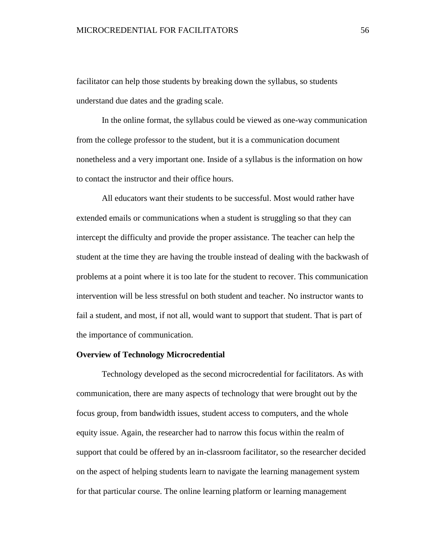facilitator can help those students by breaking down the syllabus, so students understand due dates and the grading scale.

In the online format, the syllabus could be viewed as one-way communication from the college professor to the student, but it is a communication document nonetheless and a very important one. Inside of a syllabus is the information on how to contact the instructor and their office hours.

All educators want their students to be successful. Most would rather have extended emails or communications when a student is struggling so that they can intercept the difficulty and provide the proper assistance. The teacher can help the student at the time they are having the trouble instead of dealing with the backwash of problems at a point where it is too late for the student to recover. This communication intervention will be less stressful on both student and teacher. No instructor wants to fail a student, and most, if not all, would want to support that student. That is part of the importance of communication.

### **Overview of Technology Microcredential**

Technology developed as the second microcredential for facilitators. As with communication, there are many aspects of technology that were brought out by the focus group, from bandwidth issues, student access to computers, and the whole equity issue. Again, the researcher had to narrow this focus within the realm of support that could be offered by an in-classroom facilitator, so the researcher decided on the aspect of helping students learn to navigate the learning management system for that particular course. The online learning platform or learning management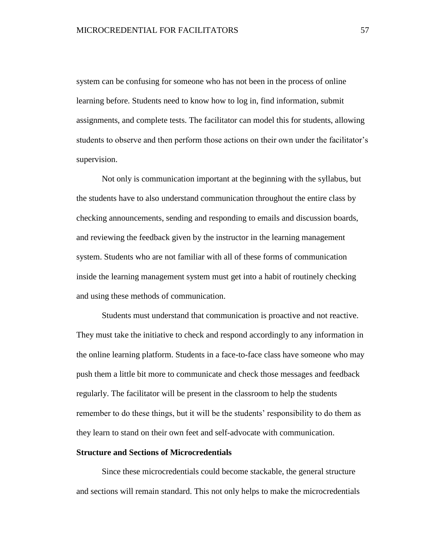system can be confusing for someone who has not been in the process of online learning before. Students need to know how to log in, find information, submit assignments, and complete tests. The facilitator can model this for students, allowing students to observe and then perform those actions on their own under the facilitator's supervision.

Not only is communication important at the beginning with the syllabus, but the students have to also understand communication throughout the entire class by checking announcements, sending and responding to emails and discussion boards, and reviewing the feedback given by the instructor in the learning management system. Students who are not familiar with all of these forms of communication inside the learning management system must get into a habit of routinely checking and using these methods of communication.

Students must understand that communication is proactive and not reactive. They must take the initiative to check and respond accordingly to any information in the online learning platform. Students in a face-to-face class have someone who may push them a little bit more to communicate and check those messages and feedback regularly. The facilitator will be present in the classroom to help the students remember to do these things, but it will be the students' responsibility to do them as they learn to stand on their own feet and self-advocate with communication.

### **Structure and Sections of Microcredentials**

Since these microcredentials could become stackable, the general structure and sections will remain standard. This not only helps to make the microcredentials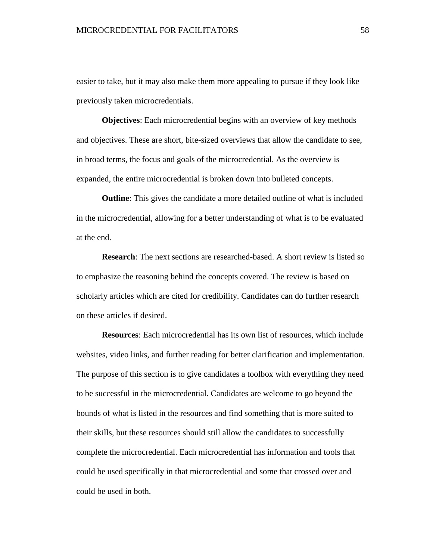easier to take, but it may also make them more appealing to pursue if they look like previously taken microcredentials.

**Objectives**: Each microcredential begins with an overview of key methods and objectives. These are short, bite-sized overviews that allow the candidate to see, in broad terms, the focus and goals of the microcredential. As the overview is expanded, the entire microcredential is broken down into bulleted concepts.

**Outline**: This gives the candidate a more detailed outline of what is included in the microcredential, allowing for a better understanding of what is to be evaluated at the end.

**Research**: The next sections are researched-based. A short review is listed so to emphasize the reasoning behind the concepts covered. The review is based on scholarly articles which are cited for credibility. Candidates can do further research on these articles if desired.

**Resources**: Each microcredential has its own list of resources, which include websites, video links, and further reading for better clarification and implementation. The purpose of this section is to give candidates a toolbox with everything they need to be successful in the microcredential. Candidates are welcome to go beyond the bounds of what is listed in the resources and find something that is more suited to their skills, but these resources should still allow the candidates to successfully complete the microcredential. Each microcredential has information and tools that could be used specifically in that microcredential and some that crossed over and could be used in both.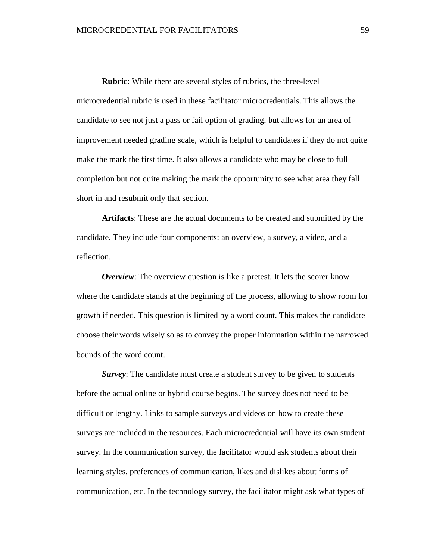**Rubric**: While there are several styles of rubrics, the three-level microcredential rubric is used in these facilitator microcredentials. This allows the candidate to see not just a pass or fail option of grading, but allows for an area of improvement needed grading scale, which is helpful to candidates if they do not quite make the mark the first time. It also allows a candidate who may be close to full completion but not quite making the mark the opportunity to see what area they fall short in and resubmit only that section.

**Artifacts**: These are the actual documents to be created and submitted by the candidate. They include four components: an overview, a survey, a video, and a reflection.

*Overview*: The overview question is like a pretest. It lets the scorer know where the candidate stands at the beginning of the process, allowing to show room for growth if needed. This question is limited by a word count. This makes the candidate choose their words wisely so as to convey the proper information within the narrowed bounds of the word count.

*Survey*: The candidate must create a student survey to be given to students before the actual online or hybrid course begins. The survey does not need to be difficult or lengthy. Links to sample surveys and videos on how to create these surveys are included in the resources. Each microcredential will have its own student survey. In the communication survey, the facilitator would ask students about their learning styles, preferences of communication, likes and dislikes about forms of communication, etc. In the technology survey, the facilitator might ask what types of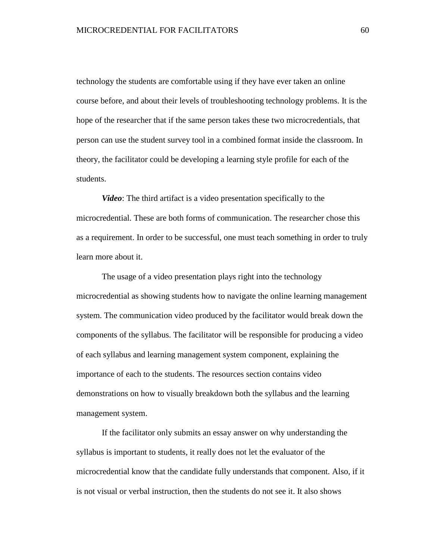technology the students are comfortable using if they have ever taken an online course before, and about their levels of troubleshooting technology problems. It is the hope of the researcher that if the same person takes these two microcredentials, that person can use the student survey tool in a combined format inside the classroom. In theory, the facilitator could be developing a learning style profile for each of the students.

*Video*: The third artifact is a video presentation specifically to the microcredential. These are both forms of communication. The researcher chose this as a requirement. In order to be successful, one must teach something in order to truly learn more about it.

The usage of a video presentation plays right into the technology microcredential as showing students how to navigate the online learning management system. The communication video produced by the facilitator would break down the components of the syllabus. The facilitator will be responsible for producing a video of each syllabus and learning management system component, explaining the importance of each to the students. The resources section contains video demonstrations on how to visually breakdown both the syllabus and the learning management system.

If the facilitator only submits an essay answer on why understanding the syllabus is important to students, it really does not let the evaluator of the microcredential know that the candidate fully understands that component. Also, if it is not visual or verbal instruction, then the students do not see it. It also shows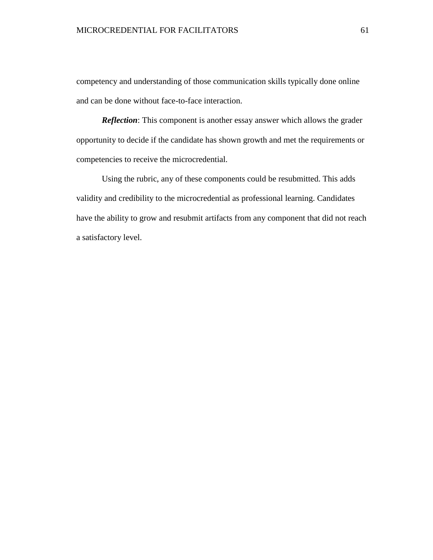competency and understanding of those communication skills typically done online and can be done without face-to-face interaction.

*Reflection*: This component is another essay answer which allows the grader opportunity to decide if the candidate has shown growth and met the requirements or competencies to receive the microcredential.

Using the rubric, any of these components could be resubmitted. This adds validity and credibility to the microcredential as professional learning. Candidates have the ability to grow and resubmit artifacts from any component that did not reach a satisfactory level.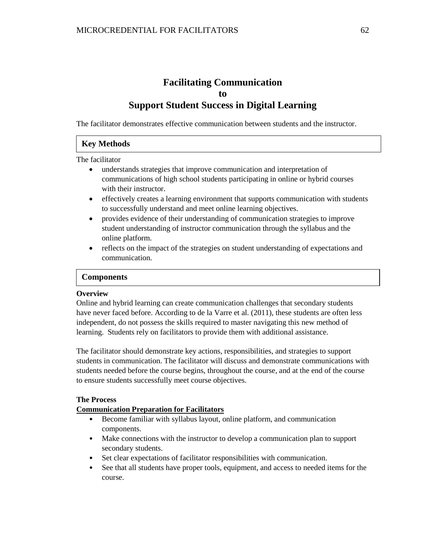# **Facilitating Communication to Support Student Success in Digital Learning**

The facilitator demonstrates effective communication between students and the instructor.

# **Key Methods**

The facilitator

- understands strategies that improve communication and interpretation of communications of high school students participating in online or hybrid courses with their instructor.
- effectively creates a learning environment that supports communication with students to successfully understand and meet online learning objectives.
- provides evidence of their understanding of communication strategies to improve student understanding of instructor communication through the syllabus and the online platform.
- reflects on the impact of the strategies on student understanding of expectations and communication.

### **Components**

#### **Overview Key Method**

Online and hybrid learning can create communication challenges that secondary students have never faced before. According to de la Varre et al. (2011), these students are often less independent, do not possess the skills required to master navigating this new method of learning. Students rely on facilitators to provide them with additional assistance.

The facilitator should demonstrate key actions, responsibilities, and strategies to support students in communication. The facilitator will discuss and demonstrate communications with students needed before the course begins, throughout the course, and at the end of the course to ensure students successfully meet course objectives.

### **The Process**

### **Communication Preparation for Facilitators**

- Become familiar with syllabus layout, online platform, and communication components.
- Make connections with the instructor to develop a communication plan to support secondary students.
- Set clear expectations of facilitator responsibilities with communication.
- See that all students have proper tools, equipment, and access to needed items for the course.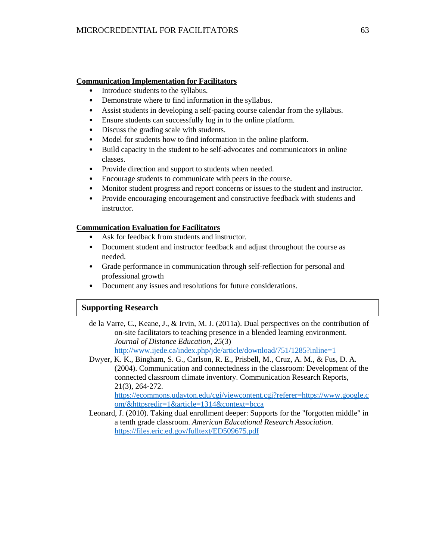### **Communication Implementation for Facilitators**

- Introduce students to the syllabus.
- Demonstrate where to find information in the syllabus.
- Assist students in developing a self-pacing course calendar from the syllabus.
- Ensure students can successfully log in to the online platform.
- Discuss the grading scale with students.
- Model for students how to find information in the online platform.
- Build capacity in the student to be self-advocates and communicators in online classes.
- Provide direction and support to students when needed.
- Encourage students to communicate with peers in the course.
- Monitor student progress and report concerns or issues to the student and instructor.
- Provide encouraging encouragement and constructive feedback with students and instructor.

### **Communication Evaluation for Facilitators**

- Ask for feedback from students and instructor.
- Document student and instructor feedback and adjust throughout the course as needed.
- Grade performance in communication through self-reflection for personal and professional growth
- Document any issues and resolutions for future considerations.

# **Supporting Research**

de la Varre, C., Keane, J., & Irvin, M. J. (2011a). Dual perspectives on the contribution of on-site facilitators to teaching presence in a blended learning environment. *Journal of Distance Education*, *25*(3)  $\frac{1}{\sqrt{1+\frac{1}{2}}\sqrt{1-\frac{1}{2}}\sqrt{1-\frac{1}{2}}\sqrt{1-\frac{1}{2}}}}$ 

<http://www.ijede.ca/index.php/jde/article/download/751/1285?inline=1>

Dwyer, K. K., Bingham, S. G., Carlson, R. E., Prisbell, M., Cruz, A. M., & Fus, D. A. (2004). Communication and connectedness in the classroom: Development of the connected classroom climate inventory. Communication Research Reports, 21(3), 264-272.

[https://ecommons.udayton.edu/cgi/viewcontent.cgi?referer=https://www.google.c](https://ecommons.udayton.edu/cgi/viewcontent.cgi?referer=https://www.google.com/&httpsredir=1&article=1314&context=bcca) [om/&httpsredir=1&article=1314&context=bcca](https://ecommons.udayton.edu/cgi/viewcontent.cgi?referer=https://www.google.com/&httpsredir=1&article=1314&context=bcca)

Leonard, J. (2010). Taking dual enrollment deeper: Supports for the "forgotten middle" in a tenth grade classroom. *American Educational Research Association.*  <https://files.eric.ed.gov/fulltext/ED509675.pdf>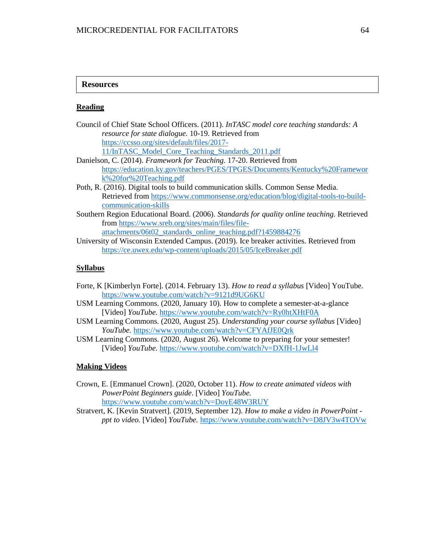### **Resources**

**Key Methods (1990)**<br>The Contract of Contract of Contract of Contract of Contract of Contract of Contract of Contract of Contract o

### **Reading**

| Council of Chief State School Officers. (2011). InTASC model core teaching standards: A     |
|---------------------------------------------------------------------------------------------|
| <i>resource for state dialogue.</i> 10-19. Retrieved from                                   |
| https://ccsso.org/sites/default/files/2017-                                                 |
| 11/InTASC_Model_Core_Teaching_Standards_2011.pdf                                            |
| Danielson, C. (2014). Framework for Teaching. 17-20. Retrieved from                         |
| https://education.ky.gov/teachers/PGES/TPGES/Documents/Kentucky%20Framewor                  |
| k%20for%20Teaching.pdf                                                                      |
| Poth, R. (2016). Digital tools to build communication skills. Common Sense Media.           |
| Retrieved from https://www.commonsense.org/education/blog/digital-tools-to-build-           |
| communication-skills                                                                        |
| Southern Region Educational Board. (2006). Standards for quality online teaching. Retrieved |
| from https://www.sreb.org/sites/main/files/file-                                            |

[attachments/06t02\\_standards\\_online\\_teaching.pdf?1459884276](https://www.sreb.org/sites/main/files/file-attachments/06t02_standards_online_teaching.pdf?1459884276)

University of Wisconsin Extended Campus. (2019). Ice breaker activities. Retrieved from <https://ce.uwex.edu/wp-content/uploads/2015/05/IceBreaker.pdf>

# **Syllabus**

- Forte, K [Kimberlyn Forte]. (2014. February 13). *How to read a syllabus* [Video] YouTube. <https://www.youtube.com/watch?v=9121d9UG6KU>
- USM Learning Commons. (2020, January 10). How to complete a semester-at-a-glance [Video] *YouTube.* <https://www.youtube.com/watch?v=Ry0htXHtF0A>
- USM Learning Commons. (2020, August 25). *Understanding your course syllabus* [Video] *YouTube.* <https://www.youtube.com/watch?v=CFYAfJE0Qrk>
- USM Learning Commons. (2020, August 26). Welcome to preparing for your semester! [Video] *YouTube.* <https://www.youtube.com/watch?v=DXfH-1JwLl4>

### **Making Videos**

Crown, E. [Emmanuel Crown]. (2020, October 11). *How to create animated videos with PowerPoint Beginners guide*. [Video] *YouTube.* <https://www.youtube.com/watch?v=DoyE48W3RUY>

Stratvert, K. [Kevin Stratvert]. (2019, September 12). *How to make a video in PowerPoint ppt to video.* [Video] *YouTube.* <https://www.youtube.com/watch?v=D8JV3w4TOVw>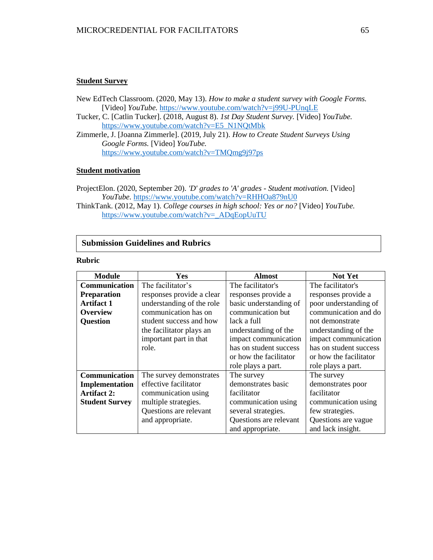### **Student Survey**

New EdTech Classroom. (2020, May 13). *How to make a student survey with Google Forms.* [Video] *YouTube.* <https://www.youtube.com/watch?v=j99U-PUnqLE>

- Tucker, C. [Catlin Tucker]. (2018, August 8). *1st Day Student Survey.* [Video] *YouTube.* [https://www.youtube.com/watch?v=E5\\_N1NQtMbk](https://www.youtube.com/watch?v=E5_N1NQtMbk)
- Zimmerle, J. [Joanna Zimmerle]. (2019, July 21). *How to Create Student Surveys Using Google Forms.* [Video] *YouTube.* <https://www.youtube.com/watch?v=TMQmg9j97ps>

#### **Student motivation**

- ProjectElon. (2020, September 20). *'D' grades to 'A' grades - Student motivation.* [Video] *YouTube.* <https://www.youtube.com/watch?v=RHHOa879nU0>
- ThinkTank. (2012, May 1). *College courses in high school: Yes or no?* [Video] *YouTube.* [https://www.youtube.com/watch?v=\\_ADqEopUuTU](https://www.youtube.com/watch?v=_ADqEopUuTU)

# **Submission Guidelines and Rubrics**

#### **Rubric Key Method**

| <b>Module</b>         | Yes                       | <b>Almost</b>          | Not Yet                |
|-----------------------|---------------------------|------------------------|------------------------|
| <b>Communication</b>  | The facilitator's         | The facilitator's      | The facilitator's      |
| <b>Preparation</b>    | responses provide a clear | responses provide a    | responses provide a    |
| <b>Artifact 1</b>     | understanding of the role | basic understanding of | poor understanding of  |
| <b>Overview</b>       | communication has on      | communication but      | communication and do   |
| <b>Question</b>       | student success and how   | lack a full            | not demonstrate        |
|                       | the facilitator plays an  | understanding of the   | understanding of the   |
|                       | important part in that    | impact communication   | impact communication   |
|                       | role.                     | has on student success | has on student success |
|                       |                           | or how the facilitator | or how the facilitator |
|                       |                           | role plays a part.     | role plays a part.     |
| Communication         | The survey demonstrates   | The survey             | The survey             |
| Implementation        | effective facilitator     | demonstrates basic     | demonstrates poor      |
| <b>Artifact 2:</b>    | communication using       | facilitator            | facilitator            |
| <b>Student Survey</b> | multiple strategies.      | communication using    | communication using    |
|                       | Questions are relevant    | several strategies.    | few strategies.        |
|                       | and appropriate.          | Questions are relevant | Questions are vague    |
|                       |                           | and appropriate.       | and lack insight.      |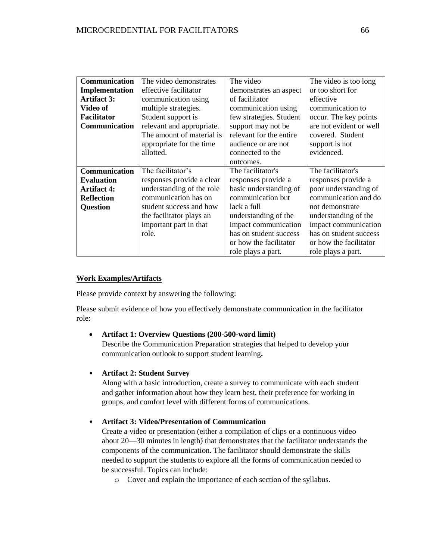# MICROCREDENTIAL FOR FACILITATORS 66

| <b>Communication</b>  | The video demonstrates    | The video               | The video is too long   |
|-----------------------|---------------------------|-------------------------|-------------------------|
| <b>Implementation</b> | effective facilitator     | demonstrates an aspect  | or too short for        |
| <b>Artifact 3:</b>    | communication using       | of facilitator          | effective               |
| Video of              | multiple strategies.      | communication using     | communication to        |
| <b>Facilitator</b>    | Student support is        | few strategies. Student | occur. The key points   |
| <b>Communication</b>  | relevant and appropriate. | support may not be      | are not evident or well |
|                       | The amount of material is | relevant for the entire | covered. Student        |
|                       | appropriate for the time  | audience or are not     | support is not          |
|                       | allotted.                 | connected to the        | evidenced.              |
|                       |                           | outcomes.               |                         |
| Communication         | The facilitator's         | The facilitator's       | The facilitator's       |
| <b>Evaluation</b>     | responses provide a clear | responses provide a     | responses provide a     |
| <b>Artifact 4:</b>    | understanding of the role | basic understanding of  | poor understanding of   |
| <b>Reflection</b>     | communication has on      | communication but       | communication and do    |
| <b>Question</b>       | student success and how   | lack a full             | not demonstrate         |
|                       | the facilitator plays an  | understanding of the    | understanding of the    |
|                       | important part in that    | impact communication    | impact communication    |
|                       | role.                     | has on student success  | has on student success  |
|                       |                           | or how the facilitator  | or how the facilitator  |
|                       |                           | role plays a part.      | role plays a part.      |

### **Work Examples/Artifacts**

Please provide context by answering the following:

Please submit evidence of how you effectively demonstrate communication in the facilitator role:

### **Artifact 1: Overview Questions (200-500-word limit)**

Describe the Communication Preparation strategies that helped to develop your communication outlook to support student learning**.** 

### • **Artifact 2: Student Survey**

Along with a basic introduction, create a survey to communicate with each student and gather information about how they learn best, their preference for working in groups, and comfort level with different forms of communications.

# • **Artifact 3: Video/Presentation of Communication**

Create a video or presentation (either a compilation of clips or a continuous video about 20—30 minutes in length) that demonstrates that the facilitator understands the components of the communication. The facilitator should demonstrate the skills needed to support the students to explore all the forms of communication needed to be successful. Topics can include:

o Cover and explain the importance of each section of the syllabus.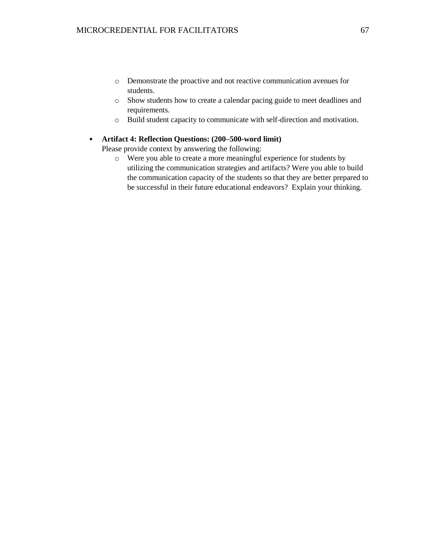- o Demonstrate the proactive and not reactive communication avenues for students.
- o Show students how to create a calendar pacing guide to meet deadlines and requirements.
- o Build student capacity to communicate with self-direction and motivation.

### • **Artifact 4: Reflection Questions: (200–500-word limit)**

Please provide context by answering the following:

o Were you able to create a more meaningful experience for students by utilizing the communication strategies and artifacts? Were you able to build the communication capacity of the students so that they are better prepared to be successful in their future educational endeavors? Explain your thinking.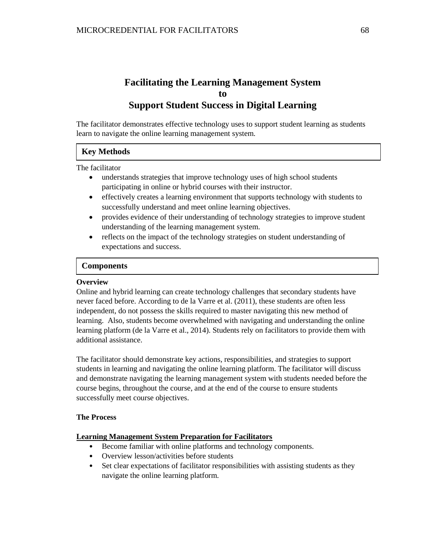# **Facilitating the Learning Management System to Support Student Success in Digital Learning**

The facilitator demonstrates effective technology uses to support student learning as students learn to navigate the online learning management system.

# **Key Methods**

The facilitator

- understands strategies that improve technology uses of high school students participating in online or hybrid courses with their instructor.
- effectively creates a learning environment that supports technology with students to successfully understand and meet online learning objectives.
- provides evidence of their understanding of technology strategies to improve student understanding of the learning management system.
- reflects on the impact of the technology strategies on student understanding of expectations and success.

### **Components**

#### **Overview Key Method**

Online and hybrid learning can create technology challenges that secondary students have never faced before. According to de la Varre et al. (2011), these students are often less independent, do not possess the skills required to master navigating this new method of learning. Also, students become overwhelmed with navigating and understanding the online learning platform (de la Varre et al., 2014). Students rely on facilitators to provide them with additional assistance.

The facilitator should demonstrate key actions, responsibilities, and strategies to support students in learning and navigating the online learning platform. The facilitator will discuss and demonstrate navigating the learning management system with students needed before the course begins, throughout the course, and at the end of the course to ensure students successfully meet course objectives.

### **The Process**

### **Learning Management System Preparation for Facilitators**

- Become familiar with online platforms and technology components.
- Overview lesson/activities before students
- Set clear expectations of facilitator responsibilities with assisting students as they navigate the online learning platform.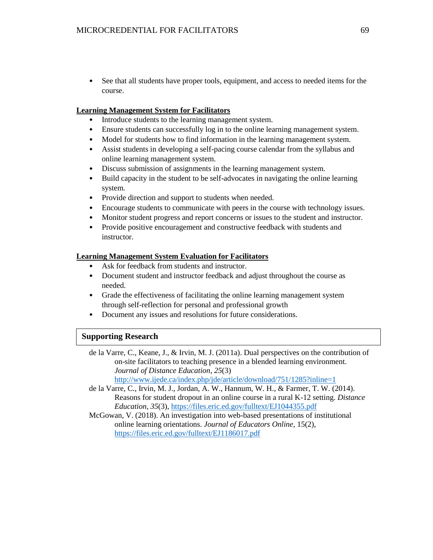• See that all students have proper tools, equipment, and access to needed items for the course.

### **Learning Management System for Facilitators**

- Introduce students to the learning management system.
- Ensure students can successfully log in to the online learning management system.
- Model for students how to find information in the learning management system.
- Assist students in developing a self-pacing course calendar from the syllabus and online learning management system.
- Discuss submission of assignments in the learning management system.
- Build capacity in the student to be self-advocates in navigating the online learning system.
- Provide direction and support to students when needed.
- Encourage students to communicate with peers in the course with technology issues.
- Monitor student progress and report concerns or issues to the student and instructor.
- Provide positive encouragement and constructive feedback with students and instructor.

### **Learning Management System Evaluation for Facilitators**

- Ask for feedback from students and instructor.
- Document student and instructor feedback and adjust throughout the course as needed.
- Grade the effectiveness of facilitating the online learning management system through self-reflection for personal and professional growth
- Document any issues and resolutions for future considerations.

### **Supporting Research**

de la Varre, C., Keane, J., & Irvin, M. J. (2011a). Dual perspectives on the contribution of on-site facilitators to teaching presence in a blended learning environment. *Journal of Distance Education*, *25*(3) <http://www.ijede.ca/index.php/jde/article/download/751/1285?inline=1> **Key Method** 

de la Varre, C., Irvin, M. J., Jordan, A. W., Hannum, W. H., & Farmer, T. W. (2014). Reasons for student dropout in an online course in a rural K-12 setting. *Distance Education*, *35*(3),<https://files.eric.ed.gov/fulltext/EJ1044355.pdf>

McGowan, V. (2018). An investigation into web-based presentations of institutional online learning orientations. *Journal of Educators Online*, 15(2), <https://files.eric.ed.gov/fulltext/EJ1186017.pdf>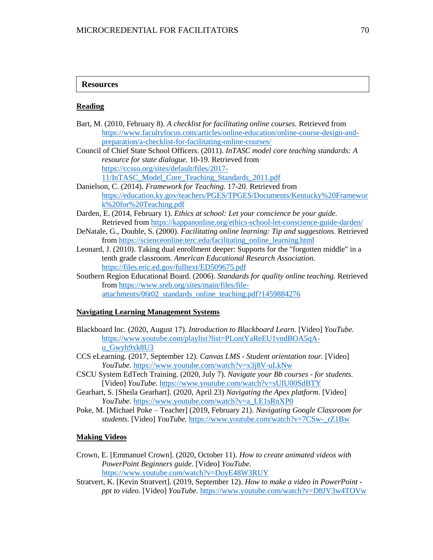### **Resources**

**Key Method** 

#### **Reading**

| Bart, M. (2010, February 8). A checklist for facilitating online courses. Retrieved from      |  |  |  |
|-----------------------------------------------------------------------------------------------|--|--|--|
| https://www.facultyfocus.com/articles/online-education/online-course-design-and-              |  |  |  |
| preparation/a-checklist-for-facilitating-online-courses/                                      |  |  |  |
| Council of Chief State School Officers. (2011). InTASC model core teaching standards: A       |  |  |  |
| resource for state dialogue. 10-19. Retrieved from                                            |  |  |  |
| https://ccsso.org/sites/default/files/2017-                                                   |  |  |  |
| 11/InTASC_Model_Core_Teaching_Standards_2011.pdf                                              |  |  |  |
| Danielson, C. (2014). Framework for Teaching. 17-20. Retrieved from                           |  |  |  |
| https://education.ky.gov/teachers/PGES/TPGES/Documents/Kentucky%20Framewor                    |  |  |  |
| k%20for%20Teaching.pdf                                                                        |  |  |  |
| Darden, E. (2014, February 1). Ethics at school: Let your conscience be your guide.           |  |  |  |
| Retrieved from https://kappanonline.org/ethics-school-let-conscience-guide-darden/            |  |  |  |
| DeNatale, G., Double, S. (2000). Facilitating online learning: Tip and suggestions. Retrieved |  |  |  |
| from https://scienceonline.terc.edu/facilitating online learning.html                         |  |  |  |
| Leonard, J. (2010). Taking dual enrollment deeper: Supports for the "forgotten middle" in a   |  |  |  |
| tenth grade classroom. American Educational Research Association.                             |  |  |  |
| https://files.eric.ed.gov/fulltext/ED509675.pdf                                               |  |  |  |
| Southern Region Educational Board. (2006). Standards for quality online teaching. Retrieved   |  |  |  |
| from https://www.sreb.org/sites/main/files/file-                                              |  |  |  |

[attachments/06t02\\_standards\\_online\\_teaching.pdf?1459884276](https://www.sreb.org/sites/main/files/file-attachments/06t02_standards_online_teaching.pdf?1459884276)

#### **Navigating Learning Management Systems**

- Blackboard Inc. (2020, August 17). *Introduction to Blackboard Learn.* [Video] *YouTube.*  [https://www.youtube.com/playlist?list=PLontYaReEU1vndBOA5qA](https://www.youtube.com/playlist?list=PLontYaReEU1vndBOA5qA-u_Gwyh9xk8U3)u Gwyh9xk8U3
- CCS eLearning. (2017, September 12). *Canvas LMS - Student orientation tour.* [Video] *YouTube.* <https://www.youtube.com/watch?v=x3j8V-uLkNw>
- CSCU System EdTech Training. (2020, July 7). *Navigate your Bb courses - for students.* [Video] *YouTube.* <https://www.youtube.com/watch?v=sUIU00SdBTY>
- Gearhart, S. [Sheila Gearhart]. (2020, April 23) *Navigating the Apex platform*. [Video] *YouTube.* [https://www.youtube.com/watch?v=a\\_LE1sRnXP0](https://www.youtube.com/watch?v=a_LE1sRnXP0)
- Poke, M. [Michael Poke Teacher] (2019, February 21). *Navigating Google Classroom for students*. [Video] *YouTube.* [https://www.youtube.com/watch?v=7CSw-\\_rZ1Bw](https://www.youtube.com/watch?v=7CSw-_rZ1Bw)

### **Making Videos**

- Crown, E. [Emmanuel Crown]. (2020, October 11). *How to create animated videos with PowerPoint Beginners guide*. [Video] *YouTube.* <https://www.youtube.com/watch?v=DoyE48W3RUY>
- Stratvert, K. [Kevin Stratvert]. (2019, September 12). *How to make a video in PowerPoint ppt to video.* [Video] *YouTube.* <https://www.youtube.com/watch?v=D8JV3w4TOVw>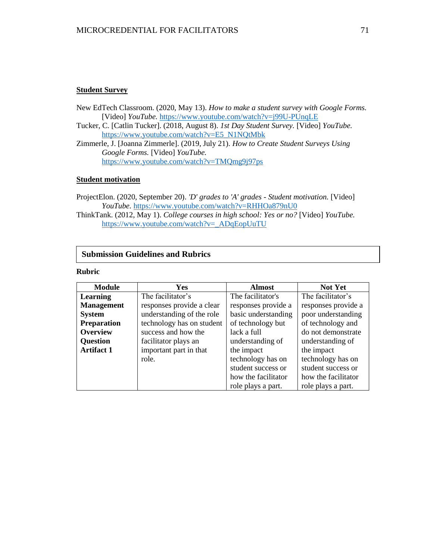#### **Student Survey**

- New EdTech Classroom. (2020, May 13). *How to make a student survey with Google Forms.* [Video] *YouTube.* <https://www.youtube.com/watch?v=j99U-PUnqLE>
- Tucker, C. [Catlin Tucker]. (2018, August 8). *1st Day Student Survey.* [Video] *YouTube.* [https://www.youtube.com/watch?v=E5\\_N1NQtMbk](https://www.youtube.com/watch?v=E5_N1NQtMbk)
- Zimmerle, J. [Joanna Zimmerle]. (2019, July 21). *How to Create Student Surveys Using Google Forms.* [Video] *YouTube.* <https://www.youtube.com/watch?v=TMQmg9j97ps>

### **Student motivation**

- ProjectElon. (2020, September 20). *'D' grades to 'A' grades - Student motivation.* [Video] *YouTube.* <https://www.youtube.com/watch?v=RHHOa879nU0>
- ThinkTank. (2012, May 1). *College courses in high school: Yes or no?* [Video] *YouTube.* https://www.youtube.com/watch?v= ADqEopUuTU

### **Submission Guidelines and Rubrics**

### **Rubric**

**Key Methods (1990)** 

| <b>Module</b>      | <b>Yes</b>                | <b>Almost</b>       | <b>Not Yet</b>      |
|--------------------|---------------------------|---------------------|---------------------|
| Learning           | The facilitator's         | The facilitator's   | The facilitator's   |
| <b>Management</b>  | responses provide a clear | responses provide a | responses provide a |
| <b>System</b>      | understanding of the role | basic understanding | poor understanding  |
| <b>Preparation</b> | technology has on student | of technology but   | of technology and   |
| <b>Overview</b>    | success and how the       | lack a full         | do not demonstrate  |
| <b>Question</b>    | facilitator plays an      | understanding of    | understanding of    |
| <b>Artifact 1</b>  | important part in that    | the impact          | the impact          |
|                    | role.                     | technology has on   | technology has on   |
|                    |                           | student success or  | student success or  |
|                    |                           | how the facilitator | how the facilitator |
|                    |                           | role plays a part.  | role plays a part.  |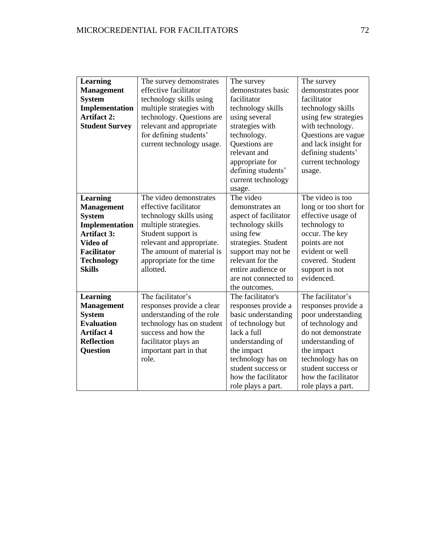## MICROCREDENTIAL FOR FACILITATORS 72

| <b>Learning</b>       | The survey demonstrates   | The survey            | The survey            |
|-----------------------|---------------------------|-----------------------|-----------------------|
| <b>Management</b>     | effective facilitator     | demonstrates basic    | demonstrates poor     |
| <b>System</b>         | technology skills using   | facilitator           | facilitator           |
| Implementation        | multiple strategies with  | technology skills     | technology skills     |
| <b>Artifact 2:</b>    | technology. Questions are | using several         | using few strategies  |
| <b>Student Survey</b> | relevant and appropriate  | strategies with       | with technology.      |
|                       | for defining students'    | technology.           | Questions are vague   |
|                       | current technology usage. | Questions are         | and lack insight for  |
|                       |                           | relevant and          | defining students'    |
|                       |                           | appropriate for       | current technology    |
|                       |                           | defining students'    | usage.                |
|                       |                           | current technology    |                       |
|                       |                           | usage.                |                       |
| <b>Learning</b>       | The video demonstrates    | The video             | The video is too      |
| <b>Management</b>     | effective facilitator     | demonstrates an       | long or too short for |
| <b>System</b>         | technology skills using   | aspect of facilitator | effective usage of    |
| <b>Implementation</b> | multiple strategies.      | technology skills     | technology to         |
| <b>Artifact 3:</b>    | Student support is        | using few             | occur. The key        |
| Video of              | relevant and appropriate. | strategies. Student   | points are not        |
| <b>Facilitator</b>    | The amount of material is | support may not be    | evident or well       |
| <b>Technology</b>     | appropriate for the time  | relevant for the      | covered. Student      |
| <b>Skills</b>         | allotted.                 | entire audience or    | support is not        |
|                       |                           | are not connected to  | evidenced.            |
|                       |                           | the outcomes.         |                       |
| <b>Learning</b>       | The facilitator's         | The facilitator's     | The facilitator's     |
| <b>Management</b>     | responses provide a clear | responses provide a   | responses provide a   |
| <b>System</b>         | understanding of the role | basic understanding   | poor understanding    |
| <b>Evaluation</b>     | technology has on student | of technology but     | of technology and     |
| <b>Artifact 4</b>     | success and how the       | lack a full           | do not demonstrate    |
| <b>Reflection</b>     | facilitator plays an      | understanding of      | understanding of      |
| <b>Question</b>       | important part in that    | the impact            | the impact            |
|                       | role.                     | technology has on     | technology has on     |
|                       |                           | student success or    | student success or    |
|                       |                           | how the facilitator   | how the facilitator   |
|                       |                           | role plays a part.    | role plays a part.    |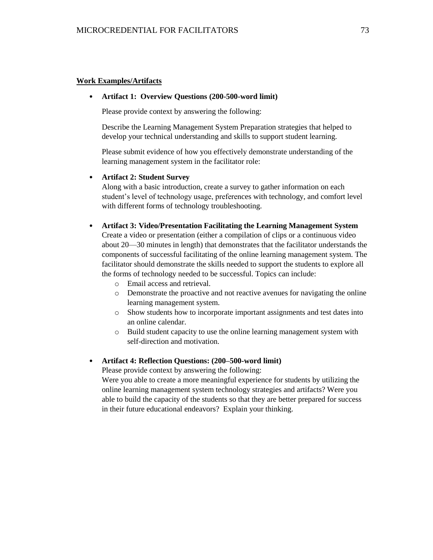### **Work Examples/Artifacts**

#### • **Artifact 1: Overview Questions (200-500-word limit)**

Please provide context by answering the following:

Describe the Learning Management System Preparation strategies that helped to develop your technical understanding and skills to support student learning.

Please submit evidence of how you effectively demonstrate understanding of the learning management system in the facilitator role:

### • **Artifact 2: Student Survey**

Along with a basic introduction, create a survey to gather information on each student's level of technology usage, preferences with technology, and comfort level with different forms of technology troubleshooting.

#### • **Artifact 3: Video/Presentation Facilitating the Learning Management System**

Create a video or presentation (either a compilation of clips or a continuous video about 20—30 minutes in length) that demonstrates that the facilitator understands the components of successful facilitating of the online learning management system. The facilitator should demonstrate the skills needed to support the students to explore all the forms of technology needed to be successful. Topics can include:

- o Email access and retrieval.
- o Demonstrate the proactive and not reactive avenues for navigating the online learning management system.
- o Show students how to incorporate important assignments and test dates into an online calendar.
- o Build student capacity to use the online learning management system with self-direction and motivation.

#### • **Artifact 4: Reflection Questions: (200–500-word limit)**

Please provide context by answering the following:

Were you able to create a more meaningful experience for students by utilizing the online learning management system technology strategies and artifacts? Were you able to build the capacity of the students so that they are better prepared for success in their future educational endeavors? Explain your thinking.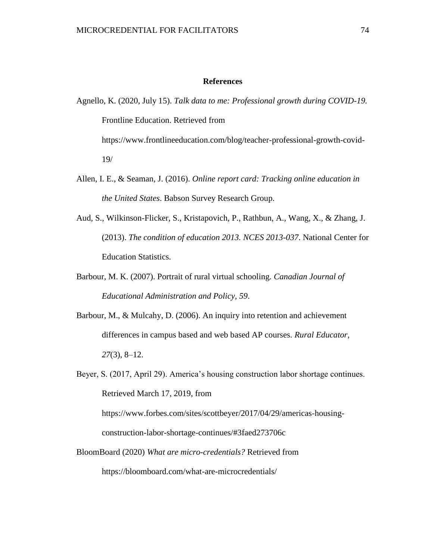### **References**

- Agnello, K. (2020, July 15). *Talk data to me: Professional growth during COVID-19.* Frontline Education. Retrieved from https://www.frontlineeducation.com/blog/teacher-professional-growth-covid-19/
- Allen, I. E., & Seaman, J. (2016). *Online report card: Tracking online education in the United States*. Babson Survey Research Group.
- Aud, S., Wilkinson-Flicker, S., Kristapovich, P., Rathbun, A., Wang, X., & Zhang, J. (2013). *The condition of education 2013. NCES 2013-037*. National Center for Education Statistics.
- Barbour, M. K. (2007). Portrait of rural virtual schooling. *Canadian Journal of Educational Administration and Policy, 59*.
- Barbour, M., & Mulcahy, D. (2006). An inquiry into retention and achievement differences in campus based and web based AP courses. *Rural Educator*, *27*(3), 8–12.
- Beyer, S. (2017, April 29). America's housing construction labor shortage continues. Retrieved March 17, 2019, from https://www.forbes.com/sites/scottbeyer/2017/04/29/americas-housing-

construction-labor-shortage-continues/#3faed273706c

BloomBoard (2020) *What are micro-credentials?* Retrieved from https://bloomboard.com/what-are-microcredentials/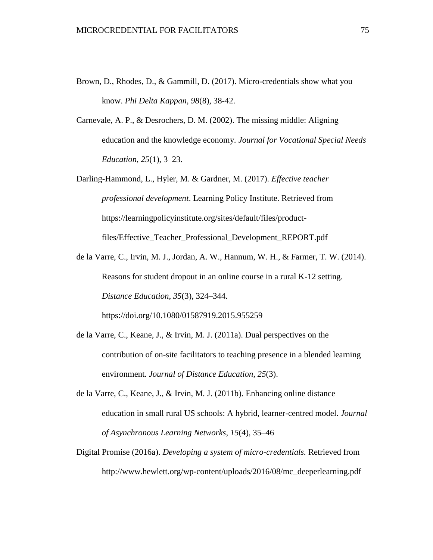- Brown, D., Rhodes, D., & Gammill, D. (2017). Micro-credentials show what you know. *Phi Delta Kappan, 98*(8), 38-42.
- Carnevale, A. P., & Desrochers, D. M. (2002). The missing middle: Aligning education and the knowledge economy. *Journal for Vocational Special Needs Education*, *25*(1), 3–23.
- Darling-Hammond, L., Hyler, M. & Gardner, M. (2017). *Effective teacher professional development*. Learning Policy Institute. Retrieved from https://learningpolicyinstitute.org/sites/default/files/productfiles/Effective\_Teacher\_Professional\_Development\_REPORT.pdf
- de la Varre, C., Irvin, M. J., Jordan, A. W., Hannum, W. H., & Farmer, T. W. (2014). Reasons for student dropout in an online course in a rural K-12 setting. *Distance Education*, *35*(3), 324–344. <https://doi.org/10.1080/01587919.2015.955259>
- de la Varre, C., Keane, J., & Irvin, M. J. (2011a). Dual perspectives on the contribution of on-site facilitators to teaching presence in a blended learning environment. *Journal of Distance Education*, *25*(3).
- de la Varre, C., Keane, J., & Irvin, M. J. (2011b). Enhancing online distance education in small rural US schools: A hybrid, learner-centred model. *Journal of Asynchronous Learning Networks*, *15*(4), 35–46
- Digital Promise (2016a). *Developing a system of micro-credentials.* Retrieved from http://www.hewlett.org/wp-content/uploads/2016/08/mc\_deeperlearning.pdf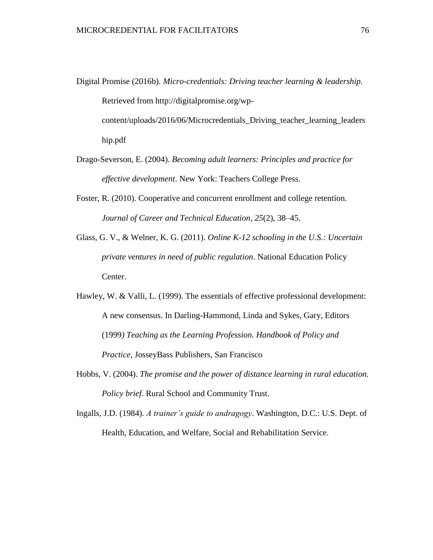Digital Promise (2016b). *Micro-credentials: Driving teacher learning & leadership.* Retrieved from http://digitalpromise.org/wpcontent/uploads/2016/06/Microcredentials\_Driving\_teacher\_learning\_leaders

hip.pdf

- Drago-Severson, E. (2004). *Becoming adult learners: Principles and practice for effective development*. New York: Teachers College Press.
- Foster, R. (2010). Cooperative and concurrent enrollment and college retention. *Journal of Career and Technical Education*, *25*(2), 38–45.
- Glass, G. V., & Welner, K. G. (2011). *Online K-12 schooling in the U.S.: Uncertain private ventures in need of public regulation*. National Education Policy Center.
- Hawley, W. & Valli, L. (1999). The essentials of effective professional development: A new consensus. In Darling-Hammond, Linda and Sykes, Gary, Editors (1999*) Teaching as the Learning Profession. Handbook of Policy and Practice,* JosseyBass Publishers, San Francisco
- Hobbs, V. (2004). *The promise and the power of distance learning in rural education. Policy brief*. Rural School and Community Trust.
- Ingalls, J.D. (1984). *A trainer's guide to andragogy*. Washington, D.C.: U.S. Dept. of Health, Education, and Welfare, Social and Rehabilitation Service.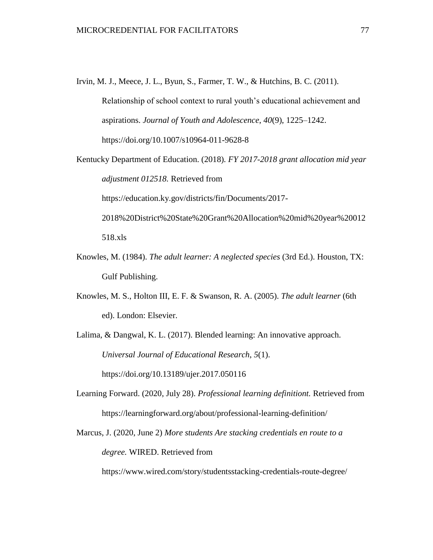- Irvin, M. J., Meece, J. L., Byun, S., Farmer, T. W., & Hutchins, B. C. (2011). Relationship of school context to rural youth's educational achievement and aspirations. *Journal of Youth and Adolescence*, *40*(9), 1225–1242. <https://doi.org/10.1007/s10964-011-9628-8>
- Kentucky Department of Education. (2018)*. FY 2017-2018 grant allocation mid year adjustment 012518.* Retrieved from https://education.ky.gov/districts/fin/Documents/2017- 2018%20District%20State%20Grant%20Allocation%20mid%20year%20012 518.xls
- Knowles, M. (1984). *The adult learner: A neglected species* (3rd Ed.). Houston, TX: Gulf Publishing.
- Knowles, M. S., Holton III, E. F. & Swanson, R. A. (2005). *The adult learner* (6th ed). London: Elsevier.

Lalima, & Dangwal, K. L. (2017). Blended learning: An innovative approach. *Universal Journal of Educational Research*, *5*(1). <https://doi.org/10.13189/ujer.2017.050116>

Learning Forward. (2020, July 28). *Professional learning definitiont.* Retrieved from https://learningforward.org/about/professional-learning-definition/

Marcus, J. (2020, June 2) *More students Are stacking credentials en route to a degree.* WIRED. Retrieved from

https://www.wired.com/story/studentsstacking-credentials-route-degree/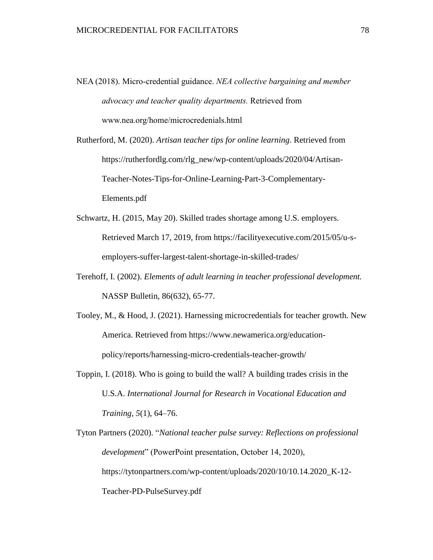- NEA (2018). Micro-credential guidance. *NEA collective bargaining and member advocacy and teacher quality departments.* Retrieved from www.nea.org/home/microcredenials.html
- Rutherford, M. (2020). *Artisan teacher tips for online learning*. Retrieved from https://rutherfordlg.com/rlg\_new/wp-content/uploads/2020/04/Artisan-Teacher-Notes-Tips-for-Online-Learning-Part-3-Complementary-Elements.pdf
- Schwartz, H. (2015, May 20). Skilled trades shortage among U.S. employers. Retrieved March 17, 2019, from https://facilityexecutive.com/2015/05/u-semployers-suffer-largest-talent-shortage-in-skilled-trades/
- Terehoff, I. (2002). *Elements of adult learning in teacher professional development.* NASSP Bulletin, 86(632), 65-77.
- Tooley, M., & Hood, J. (2021). Harnessing microcredentials for teacher growth. New America. Retrieved from https://www.newamerica.org/educationpolicy/reports/harnessing-micro-credentials-teacher-growth/
- Toppin, I. (2018). Who is going to build the wall? A building trades crisis in the U.S.A. *International Journal for Research in Vocational Education and Training*, *5*(1), 64–76.

Tyton Partners (2020). "*National teacher pulse survey: Reflections on professional development*" (PowerPoint presentation, October 14, 2020), https://tytonpartners.com/wp-content/uploads/2020/10/10.14.2020\_K-12- Teacher-PD-PulseSurvey.pdf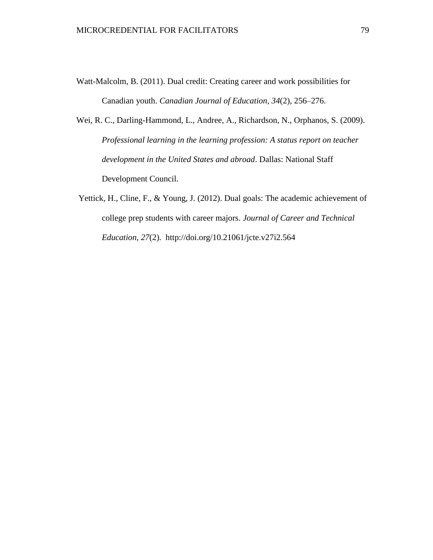- Watt-Malcolm, B. (2011). Dual credit: Creating career and work possibilities for Canadian youth. *Canadian Journal of Education*, *34*(2), 256–276.
- Wei, R. C., Darling-Hammond, L., Andree, A., Richardson, N., Orphanos, S. (2009). *Professional learning in the learning profession: A status report on teacher development in the United States and abroad*. Dallas: National Staff Development Council.
- Yettick, H., Cline, F., & Young, J. (2012). Dual goals: The academic achievement of college prep students with career majors. *Journal of Career and Technical Education*, *27*(2). <http://doi.org/10.21061/jcte.v27i2.564>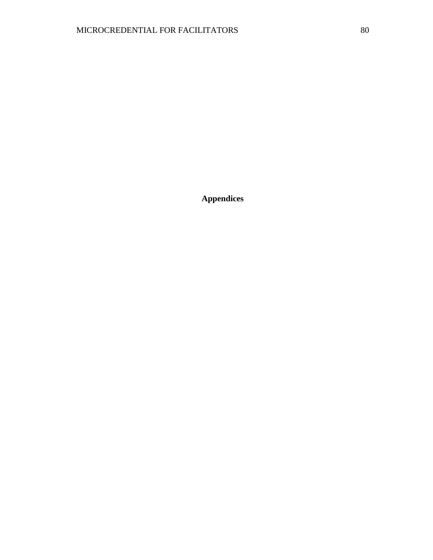**Appendices**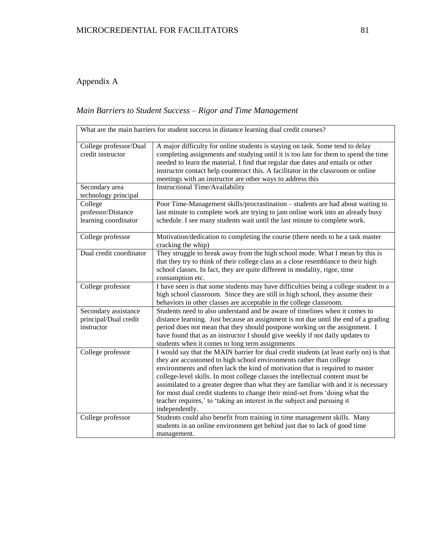# Appendix A

# *Main Barriers to Student Success – Rigor and Time Management*

| What are the main barriers for student success in distance learning dual credit courses? |                                                                                                                                                                                                                                                                                                                                                                                                                                                                                                                                                                                                       |
|------------------------------------------------------------------------------------------|-------------------------------------------------------------------------------------------------------------------------------------------------------------------------------------------------------------------------------------------------------------------------------------------------------------------------------------------------------------------------------------------------------------------------------------------------------------------------------------------------------------------------------------------------------------------------------------------------------|
| College professor/Dual<br>credit instructor                                              | A major difficulty for online students is staying on task. Some tend to delay<br>completing assignments and studying until it is too late for them to spend the time<br>needed to learn the material. I find that regular due dates and emails or other<br>instructor contact help counteract this. A facilitator in the classroom or online<br>meetings with an instructor are other ways to address this                                                                                                                                                                                            |
| Secondary area<br>technology principal                                                   | Instructional Time/Availability                                                                                                                                                                                                                                                                                                                                                                                                                                                                                                                                                                       |
| College<br>professor/Distance<br>learning coordinator                                    | Poor Time-Management skills/procrastination - students are bad about waiting to<br>last minute to complete work are trying to jam online work into an already busy<br>schedule. I see many students wait until the last minute to complete work.                                                                                                                                                                                                                                                                                                                                                      |
| College professor                                                                        | Motivation/dedication to completing the course (there needs to be a task master<br>cracking the whip)                                                                                                                                                                                                                                                                                                                                                                                                                                                                                                 |
| Dual credit coordinator                                                                  | They struggle to break away from the high school mode. What I mean by this is<br>that they try to think of their college class as a close resemblance to their high<br>school classes. In fact, they are quite different in modality, rigor, time<br>consumption etc.                                                                                                                                                                                                                                                                                                                                 |
| College professor                                                                        | I have seen is that some students may have difficulties being a college student in a<br>high school classroom. Since they are still in high school, they assume their<br>behaviors in other classes are acceptable in the college classroom.                                                                                                                                                                                                                                                                                                                                                          |
| Secondary assistance<br>principal/Dual credit<br>instructor                              | Students need to also understand and be aware of timelines when it comes to<br>distance learning. Just because an assignment is not due until the end of a grading<br>period does not mean that they should postpone working on the assignment. I<br>have found that as an instructor I should give weekly if not daily updates to<br>students when it comes to long term assignments                                                                                                                                                                                                                 |
| College professor                                                                        | I would say that the MAIN barrier for dual credit students (at least early on) is that<br>they are accustomed to high school environments rather than college<br>environments and often lack the kind of motivation that is required to master<br>college-level skills. In most college classes the intellectual content must be<br>assimilated to a greater degree than what they are familiar with and it is necessary<br>for most dual credit students to change their mind-set from 'doing what the<br>teacher requires,' to 'taking an interest in the subject and pursuing it<br>independently. |
| College professor                                                                        | Students could also benefit from training in time management skills. Many<br>students in an online environment get behind just due to lack of good time<br>management.                                                                                                                                                                                                                                                                                                                                                                                                                                |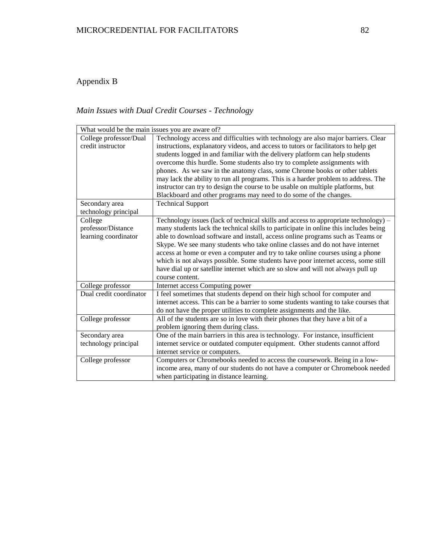# Appendix B

# *Main Issues with Dual Credit Courses - Technology*

| What would be the main issues you are aware of? |                                                                                      |
|-------------------------------------------------|--------------------------------------------------------------------------------------|
| College professor/Dual                          | Technology access and difficulties with technology are also major barriers. Clear    |
| credit instructor                               | instructions, explanatory videos, and access to tutors or facilitators to help get   |
|                                                 | students logged in and familiar with the delivery platform can help students         |
|                                                 | overcome this hurdle. Some students also try to complete assignments with            |
|                                                 | phones. As we saw in the anatomy class, some Chrome books or other tablets           |
|                                                 | may lack the ability to run all programs. This is a harder problem to address. The   |
|                                                 | instructor can try to design the course to be usable on multiple platforms, but      |
|                                                 | Blackboard and other programs may need to do some of the changes.                    |
| Secondary area                                  | <b>Technical Support</b>                                                             |
| technology principal                            |                                                                                      |
| College                                         | Technology issues (lack of technical skills and access to appropriate technology) -  |
| professor/Distance                              | many students lack the technical skills to participate in online this includes being |
| learning coordinator                            | able to download software and install, access online programs such as Teams or       |
|                                                 | Skype. We see many students who take online classes and do not have internet         |
|                                                 | access at home or even a computer and try to take online courses using a phone       |
|                                                 | which is not always possible. Some students have poor internet access, some still    |
|                                                 | have dial up or satellite internet which are so slow and will not always pull up     |
|                                                 | course content.                                                                      |
| College professor                               | Internet access Computing power                                                      |
| Dual credit coordinator                         | I feel sometimes that students depend on their high school for computer and          |
|                                                 | internet access. This can be a barrier to some students wanting to take courses that |
|                                                 | do not have the proper utilities to complete assignments and the like.               |
| College professor                               | All of the students are so in love with their phones that they have a bit of a       |
|                                                 | problem ignoring them during class.                                                  |
| Secondary area                                  | One of the main barriers in this area is technology. For instance, insufficient      |
| technology principal                            | internet service or outdated computer equipment. Other students cannot afford        |
|                                                 | internet service or computers.                                                       |
| College professor                               | Computers or Chromebooks needed to access the coursework. Being in a low-            |
|                                                 | income area, many of our students do not have a computer or Chromebook needed        |
|                                                 | when participating in distance learning.                                             |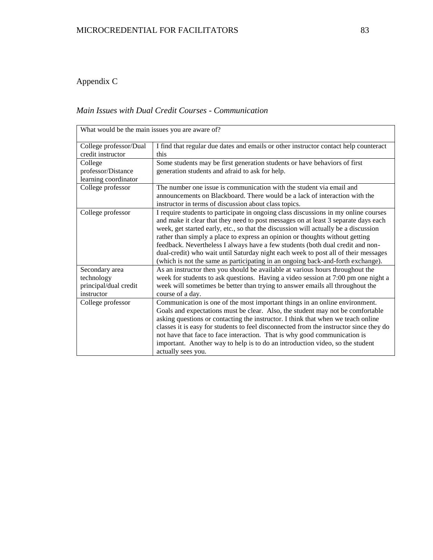# Appendix C

## *Main Issues with Dual Credit Courses - Communication*

| What would be the main issues you are aware of? |                                                                                        |
|-------------------------------------------------|----------------------------------------------------------------------------------------|
| College professor/Dual                          | I find that regular due dates and emails or other instructor contact help counteract   |
| credit instructor                               | this                                                                                   |
| College                                         | Some students may be first generation students or have behaviors of first              |
| professor/Distance                              | generation students and afraid to ask for help.                                        |
| learning coordinator                            |                                                                                        |
| College professor                               | The number one issue is communication with the student via email and                   |
|                                                 | announcements on Blackboard. There would be a lack of interaction with the             |
|                                                 | instructor in terms of discussion about class topics.                                  |
| College professor                               | I require students to participate in ongoing class discussions in my online courses    |
|                                                 | and make it clear that they need to post messages on at least 3 separate days each     |
|                                                 | week, get started early, etc., so that the discussion will actually be a discussion    |
|                                                 | rather than simply a place to express an opinion or thoughts without getting           |
|                                                 | feedback. Nevertheless I always have a few students (both dual credit and non-         |
|                                                 | dual-credit) who wait until Saturday night each week to post all of their messages     |
|                                                 | (which is not the same as participating in an ongoing back-and-forth exchange).        |
| Secondary area                                  | As an instructor then you should be available at various hours throughout the          |
| technology                                      | week for students to ask questions. Having a video session at 7:00 pm one night a      |
| principal/dual credit                           | week will sometimes be better than trying to answer emails all throughout the          |
| instructor                                      | course of a day.                                                                       |
| College professor                               | Communication is one of the most important things in an online environment.            |
|                                                 | Goals and expectations must be clear. Also, the student may not be comfortable         |
|                                                 | asking questions or contacting the instructor. I think that when we teach online       |
|                                                 | classes it is easy for students to feel disconnected from the instructor since they do |
|                                                 | not have that face to face interaction. That is why good communication is              |
|                                                 | important. Another way to help is to do an introduction video, so the student          |
|                                                 | actually sees you.                                                                     |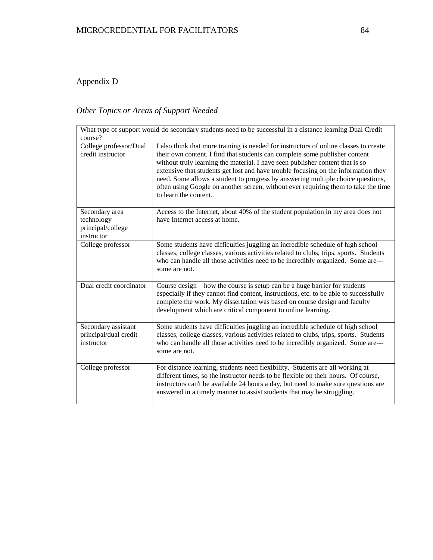# Appendix D

# *Other Topics or Areas of Support Needed*

| course?                                                         | What type of support would do secondary students need to be successful in a distance learning Dual Credit                                                                                                                                                                                                                                                                                                                                                                                                                                     |
|-----------------------------------------------------------------|-----------------------------------------------------------------------------------------------------------------------------------------------------------------------------------------------------------------------------------------------------------------------------------------------------------------------------------------------------------------------------------------------------------------------------------------------------------------------------------------------------------------------------------------------|
| College professor/Dual<br>credit instructor                     | I also think that more training is needed for instructors of online classes to create<br>their own content. I find that students can complete some publisher content<br>without truly learning the material. I have seen publisher content that is so<br>extensive that students get lost and have trouble focusing on the information they<br>need. Some allows a student to progress by answering multiple choice questions,<br>often using Google on another screen, without ever requiring them to take the time<br>to learn the content. |
| Secondary area<br>technology<br>principal/college<br>instructor | Access to the Internet, about 40% of the student population in my area does not<br>have Internet access at home.                                                                                                                                                                                                                                                                                                                                                                                                                              |
| College professor                                               | Some students have difficulties juggling an incredible schedule of high school<br>classes, college classes, various activities related to clubs, trips, sports. Students<br>who can handle all those activities need to be incredibly organized. Some are---<br>some are not.                                                                                                                                                                                                                                                                 |
| Dual credit coordinator                                         | Course design – how the course is setup can be a huge barrier for students<br>especially if they cannot find content, instructions, etc. to be able to successfully<br>complete the work. My dissertation was based on course design and faculty<br>development which are critical component to online learning.                                                                                                                                                                                                                              |
| Secondary assistant<br>principal/dual credit<br>instructor      | Some students have difficulties juggling an incredible schedule of high school<br>classes, college classes, various activities related to clubs, trips, sports. Students<br>who can handle all those activities need to be incredibly organized. Some are---<br>some are not.                                                                                                                                                                                                                                                                 |
| College professor                                               | For distance learning, students need flexibility. Students are all working at<br>different times, so the instructor needs to be flexible on their hours. Of course,<br>instructors can't be available 24 hours a day, but need to make sure questions are<br>answered in a timely manner to assist students that may be struggling.                                                                                                                                                                                                           |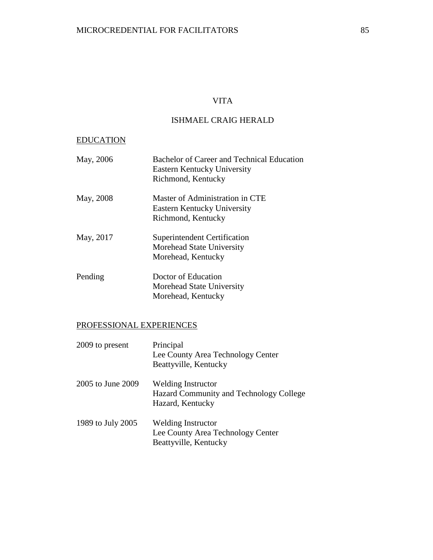## VITA

## ISHMAEL CRAIG HERALD

### EDUCATION

| May, 2006 | Bachelor of Career and Technical Education<br>Eastern Kentucky University |
|-----------|---------------------------------------------------------------------------|
|           | Richmond, Kentucky                                                        |
| May, 2008 | Master of Administration in CTE                                           |
|           | Eastern Kentucky University                                               |
|           | Richmond, Kentucky                                                        |
| May, 2017 | Superintendent Certification                                              |
|           | Morehead State University                                                 |
|           | Morehead, Kentucky                                                        |
| Pending   | Doctor of Education                                                       |
|           | Morehead State University                                                 |
|           | Morehead, Kentucky                                                        |

### PROFESSIONAL EXPERIENCES

| 2009 to present   | Principal<br>Lee County Area Technology Center<br>Beattyville, Kentucky                  |
|-------------------|------------------------------------------------------------------------------------------|
| 2005 to June 2009 | <b>Welding Instructor</b><br>Hazard Community and Technology College<br>Hazard, Kentucky |
| 1989 to July 2005 | Welding Instructor<br>Lee County Area Technology Center<br>Beattyville, Kentucky         |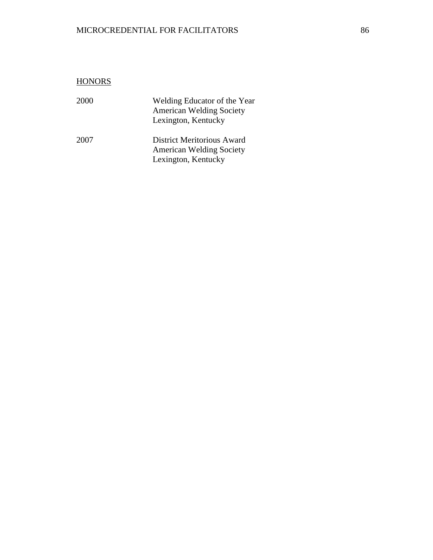## MICROCREDENTIAL FOR FACILITATORS 86

| <b>HONORS</b> |                                                                                        |
|---------------|----------------------------------------------------------------------------------------|
| 2000          | Welding Educator of the Year<br><b>American Welding Society</b><br>Lexington, Kentucky |
| 2007          | District Meritorious Award<br><b>American Welding Society</b><br>Lexington, Kentucky   |